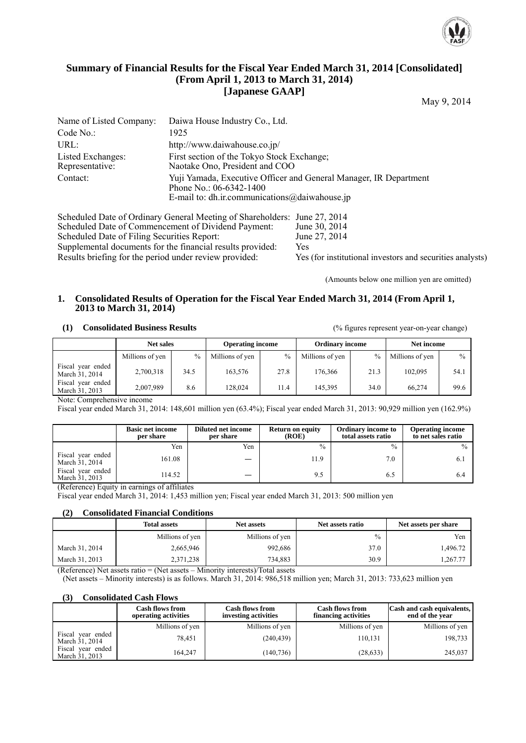

# **Summary of Financial Results for the Fiscal Year Ended March 31, 2014 [Consolidated] (From April 1, 2013 to March 31, 2014) [Japanese GAAP]**

May 9, 2014

| Name of Listed Company:              | Daiwa House Industry Co., Ltd.                                                                                                                |
|--------------------------------------|-----------------------------------------------------------------------------------------------------------------------------------------------|
| Code No.:                            | 1925                                                                                                                                          |
| URL:                                 | http://www.daiwahouse.co.jp/                                                                                                                  |
| Listed Exchanges:<br>Representative: | First section of the Tokyo Stock Exchange;<br>Naotake Ono, President and COO                                                                  |
| Contact:                             | Yuji Yamada, Executive Officer and General Manager, IR Department<br>Phone No.: 06-6342-1400<br>E-mail to: dh.ir.communications@daiwahouse.jp |

Scheduled Date of Ordinary General Meeting of Shareholders: June 27, 2014<br>Scheduled Date of Commencement of Dividend Payment: June 30, 2014 Scheduled Date of Commencement of Dividend Payment: June 30, 2014<br>Scheduled Date of Filing Securities Report: June 27, 2014 Scheduled Date of Filing Securities Report: Supplemental documents for the financial results provided: Yes Results briefing for the period under review provided: Yes (for institutional investors and securities analysts)

(Amounts below one million yen are omitted)

### **1. Consolidated Results of Operation for the Fiscal Year Ended March 31, 2014 (From April 1, 2013 to March 31, 2014)**

#### **(1) Consolidated Business Results** (% figures represent year-on-year change)

|                                     | <b>Net sales</b> |               | <b>Operating income</b> |      | <b>Ordinary income</b> |      | Net income      |               |
|-------------------------------------|------------------|---------------|-------------------------|------|------------------------|------|-----------------|---------------|
|                                     | Millions of yen  | $\frac{0}{0}$ | Millions of yen         | $\%$ | Millions of yen        | $\%$ | Millions of yen | $\frac{0}{0}$ |
| Fiscal year ended<br>March 31, 2014 | 2,700,318        | 34.5          | 163.576                 | 27.8 | 176.366                | 21.3 | 102.095         | 54.1          |
| Fiscal year ended<br>March 31, 2013 | 2,007,989        | 8.6           | 128.024                 | 11.4 | 145.395                | 34.0 | 66.274          | 99.6          |

Note: Comprehensive income

Fiscal year ended March 31, 2014: 148,601 million yen (63.4%); Fiscal year ended March 31, 2013: 90,929 million yen (162.9%)

|                                     | <b>Basic net income</b><br>per share | Diluted net income<br>per share | <b>Return on equity</b><br>(ROE) | <b>Ordinary income to</b><br>total assets ratio | <b>Operating income</b><br>to net sales ratio |
|-------------------------------------|--------------------------------------|---------------------------------|----------------------------------|-------------------------------------------------|-----------------------------------------------|
|                                     | Yen                                  | Yen                             | $\frac{0}{0}$                    | $\frac{0}{0}$                                   | $\%$                                          |
| Fiscal year ended<br>March 31, 2014 | 161.08                               |                                 | 11.9                             | 7.0                                             |                                               |
| Fiscal year ended<br>March 31, 2013 | 114.52                               |                                 | 9.5                              | 6.5                                             |                                               |

(Reference) Equity in earnings of affiliates

Fiscal year ended March 31, 2014: 1,453 million yen; Fiscal year ended March 31, 2013: 500 million yen

#### **(2) Consolidated Financial Conditions**

|                | <b>Total assets</b> | <b>Net assets</b> | Net assets ratio | Net assets per share |
|----------------|---------------------|-------------------|------------------|----------------------|
|                | Millions of yen     | Millions of yen   | $\frac{0}{0}$    | Yen                  |
| March 31, 2014 | 2,665,946           | 992.686           | 37.0             | 1,496.72             |
| March 31, 2013 | 2,371,238           | 734.883           | 30.9             | 1,267.77             |

(Reference) Net assets ratio = (Net assets – Minority interests)/Total assets

(Net assets – Minority interests) is as follows. March 31, 2014: 986,518 million yen; March 31, 2013: 733,623 million yen

## **(3) Consolidated Cash Flows**

|                                     | <b>Cash flows from</b><br>operating activities | <b>Cash flows from</b><br>investing activities | <b>Cash flows from</b><br>financing activities | Cash and cash equivalents,<br>end of the year |
|-------------------------------------|------------------------------------------------|------------------------------------------------|------------------------------------------------|-----------------------------------------------|
|                                     | Millions of yen                                | Millions of yen                                | Millions of yen                                | Millions of yen                               |
| Fiscal year ended<br>March 31, 2014 | 78,451                                         | (240, 439)                                     | 110,131                                        | 198,733                                       |
| Fiscal year ended<br>March 31, 2013 | 164.247                                        | (140, 736)                                     | (28, 633)                                      | 245,037                                       |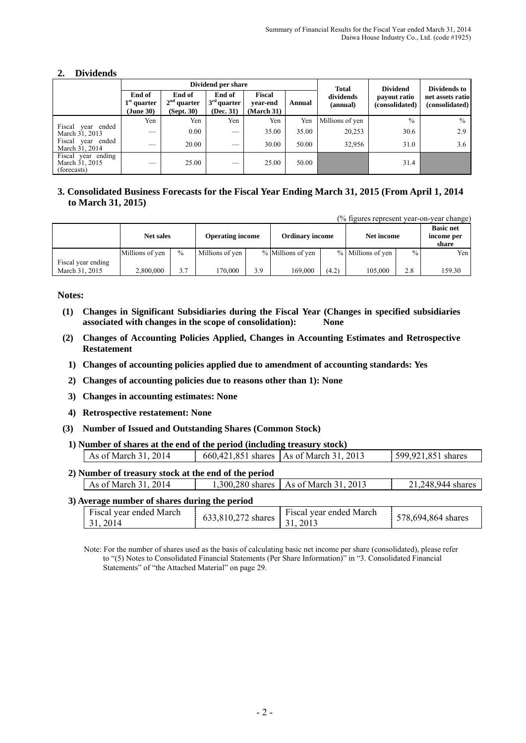# **2. Dividends**

|                                                     |                                |                                       | Dividend per share                   | Total                          | <b>Dividend</b> | Dividends to          |                                |                                    |
|-----------------------------------------------------|--------------------------------|---------------------------------------|--------------------------------------|--------------------------------|-----------------|-----------------------|--------------------------------|------------------------------------|
|                                                     | End of<br>quarter<br>(June 30) | End of<br>$2nd$ quarter<br>(Sept. 30) | End of<br>$3rd$ quarter<br>(Dec. 31) | Fiscal<br>vear-end<br>March 31 | Annual          | dividends<br>(annual) | payout ratio<br>(consolidated) | net assets ratio<br>(consolidated) |
|                                                     | Yen                            | Yen                                   | Yen                                  | Yen                            | Yen             | Millions of yen       | $\%$                           | $\frac{0}{0}$                      |
| Fiscal<br>year ended<br>March 31, 2013              | __                             | 0.00                                  |                                      | 35.00                          | 35.00           | 20,253                | 30.6                           | 2.9                                |
| Fiscal<br>year ended<br>March 31, 2014              |                                | 20.00                                 |                                      | 30.00                          | 50.00           | 32,956                | 31.0                           | 3.6                                |
| Fiscal year ending<br>March 31, 2015<br>(forecasts) |                                | 25.00                                 | __                                   | 25.00                          | 50.00           |                       | 31.4                           |                                    |

# **3. Consolidated Business Forecasts for the Fiscal Year Ending March 31, 2015 (From April 1, 2014 to March 31, 2015)**

(% figures represent year-on-year change)

|                    | <b>Net sales</b> |               | <b>Operating income</b> |     | <b>Ordinary income</b> |       | Net income        |               | <b>Basic net</b><br>income per<br>share |
|--------------------|------------------|---------------|-------------------------|-----|------------------------|-------|-------------------|---------------|-----------------------------------------|
|                    | Millions of yen  | $\frac{0}{0}$ | Millions of yen         |     | % Millions of yen      |       | % Millions of yen | $\frac{0}{0}$ | Yen I                                   |
| Fiscal year ending |                  |               |                         |     |                        |       |                   |               |                                         |
| March 31, 2015     | 2.800,000        | 3.7           | 70.000                  | 3.9 | 169,000                | (4.2) | 105,000           | 2.8           | 159.30                                  |

**Notes:** 

- **(1) Changes in Significant Subsidiaries during the Fiscal Year (Changes in specified subsidiaries associated with changes in the scope of consolidation): None**
- **(2) Changes of Accounting Policies Applied, Changes in Accounting Estimates and Retrospective Restatement** 
	- **1) Changes of accounting policies applied due to amendment of accounting standards: Yes**
	- **2) Changes of accounting policies due to reasons other than 1): None**
	- **3) Changes in accounting estimates: None**
	- **4) Retrospective restatement: None**
- **(3) Number of Issued and Outstanding Shares (Common Stock)**
- **1) Number of shares at the end of the period (including treasury stock)**

|                                                      | As of March 31, 2014                |                    | 660,421,851 shares   As of March 31, 2013 | 599,921,851 shares |  |  |  |  |  |
|------------------------------------------------------|-------------------------------------|--------------------|-------------------------------------------|--------------------|--|--|--|--|--|
| 2) Number of treasury stock at the end of the period |                                     |                    |                                           |                    |  |  |  |  |  |
|                                                      | As of March 31, 2014                |                    | 1,300,280 shares   As of March 31, 2013   | 21,248,944 shares  |  |  |  |  |  |
| 3) Average number of shares during the period        |                                     |                    |                                           |                    |  |  |  |  |  |
|                                                      | Fiscal year ended March<br>31, 2014 | 633,810,272 shares | Fiscal year ended March<br>31, 2013       | 578,694,864 shares |  |  |  |  |  |

Note: For the number of shares used as the basis of calculating basic net income per share (consolidated), please refer to "(5) Notes to Consolidated Financial Statements (Per Share Information)" in "3. Consolidated Financial Statements" of "the Attached Material" on page 29.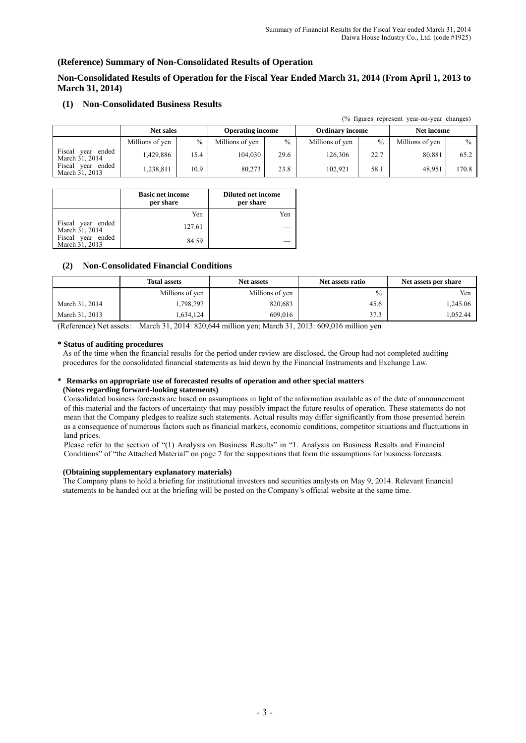(% figures represent year-on-year changes)

### **(Reference) Summary of Non-Consolidated Results of Operation**

**Non-Consolidated Results of Operation for the Fiscal Year Ended March 31, 2014 (From April 1, 2013 to March 31, 2014)** 

#### **(1) Non-Consolidated Business Results**

|                                           |                  |               |                         |      |                        |      | $\sqrt{2}$ in $\sqrt{2}$ is represent year-on-year changes) |       |
|-------------------------------------------|------------------|---------------|-------------------------|------|------------------------|------|-------------------------------------------------------------|-------|
|                                           | <b>Net sales</b> |               | <b>Operating income</b> |      | <b>Ordinary income</b> |      | Net income                                                  |       |
|                                           | Millions of yen  | $\frac{0}{0}$ | Millions of yen         | $\%$ | Millions of yen        | $\%$ | Millions of yen                                             | $\%$  |
| Fiscal<br>ended<br>vear<br>March 31, 2014 | .429,886         | l 5.4         | 104.030                 | 29.6 | 126.306                | 22.7 | 80,881                                                      | 65.2  |
| Fiscal<br>ended<br>vear<br>March 31, 2013 | .238,811         | 10.9          | 80.273                  | 23.8 | 102.921                | 58.1 | 48.951                                                      | 170.8 |

|                                     | <b>Basic net income</b><br>per share | <b>Diluted net income</b><br>per share |
|-------------------------------------|--------------------------------------|----------------------------------------|
|                                     | Yen                                  | Yen                                    |
| Fiscal year ended<br>March 31, 2014 | 127.61                               |                                        |
| Fiscal year ended<br>March 31, 2013 | 84.59                                |                                        |

#### **(2) Non-Consolidated Financial Conditions**

|                | <b>Total assets</b> | <b>Net assets</b> | Net assets ratio | Net assets per share |  |
|----------------|---------------------|-------------------|------------------|----------------------|--|
|                | Millions of yen     | Millions of yen   | $\frac{0}{0}$    | Yen                  |  |
| March 31, 2014 | 1,798,797           | 820,683           | 45.6             | .245.06              |  |
| March 31, 2013 | 1,634,124           | 609,016           | 37.3             | .052.44              |  |

(Reference) Net assets: March 31, 2014: 820,644 million yen; March 31, 2013: 609,016 million yen

#### **\* Status of auditing procedures**

As of the time when the financial results for the period under review are disclosed, the Group had not completed auditing procedures for the consolidated financial statements as laid down by the Financial Instruments and Exchange Law.

#### **\* Remarks on appropriate use of forecasted results of operation and other special matters (Notes regarding forward-looking statements)**

Consolidated business forecasts are based on assumptions in light of the information available as of the date of announcement of this material and the factors of uncertainty that may possibly impact the future results of operation. These statements do not mean that the Company pledges to realize such statements. Actual results may differ significantly from those presented herein as a consequence of numerous factors such as financial markets, economic conditions, competitor situations and fluctuations in land prices.

Please refer to the section of "(1) Analysis on Business Results" in "1. Analysis on Business Results and Financial Conditions" of "the Attached Material" on page 7 for the suppositions that form the assumptions for business forecasts.

#### **(Obtaining supplementary explanatory materials)**

The Company plans to hold a briefing for institutional investors and securities analysts on May 9, 2014. Relevant financial statements to be handed out at the briefing will be posted on the Company's official website at the same time.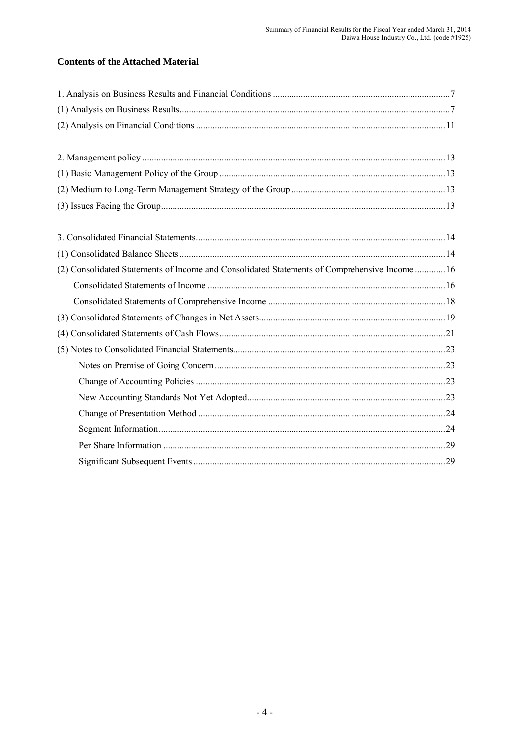# **Contents of the Attached Material**

| (2) Consolidated Statements of Income and Consolidated Statements of Comprehensive Income  16 |  |
|-----------------------------------------------------------------------------------------------|--|
|                                                                                               |  |
|                                                                                               |  |
|                                                                                               |  |
|                                                                                               |  |
|                                                                                               |  |
|                                                                                               |  |
|                                                                                               |  |
|                                                                                               |  |
|                                                                                               |  |
|                                                                                               |  |
|                                                                                               |  |
|                                                                                               |  |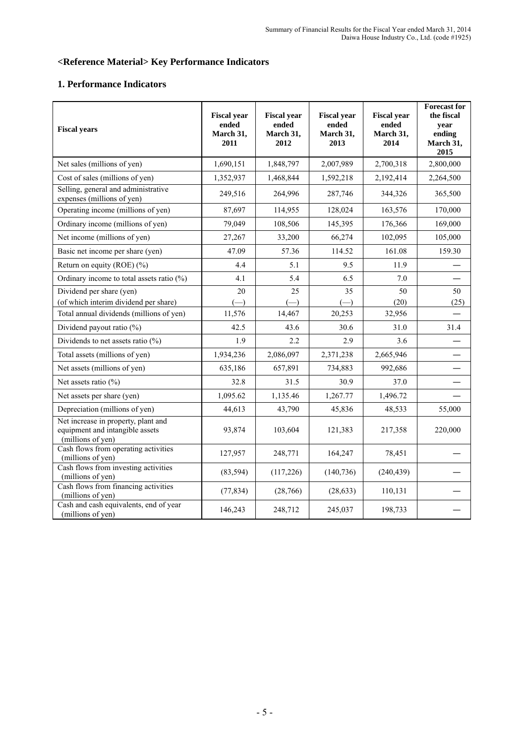# **<Reference Material> Key Performance Indicators**

# **1. Performance Indicators**

| <b>Fiscal years</b>                                                                         | <b>Fiscal year</b><br>ended<br>March 31,<br>2011 | <b>Fiscal year</b><br>ended<br>March 31,<br>2012 | <b>Fiscal year</b><br>ended<br>March 31,<br>2013 | <b>Fiscal year</b><br>ended<br>March 31,<br>2014 | <b>Forecast for</b><br>the fiscal<br>vear<br>ending<br>March 31,<br>2015 |
|---------------------------------------------------------------------------------------------|--------------------------------------------------|--------------------------------------------------|--------------------------------------------------|--------------------------------------------------|--------------------------------------------------------------------------|
| Net sales (millions of yen)                                                                 | 1,690,151                                        | 1,848,797                                        | 2,007,989                                        | 2,700,318                                        | 2,800,000                                                                |
| Cost of sales (millions of yen)                                                             | 1,352,937                                        | 1,468,844                                        | 1,592,218                                        | 2,192,414                                        | 2,264,500                                                                |
| Selling, general and administrative<br>expenses (millions of yen)                           | 249,516                                          | 264,996                                          | 287,746                                          | 344,326                                          | 365,500                                                                  |
| Operating income (millions of yen)                                                          | 87,697                                           | 114,955                                          | 128,024                                          | 163,576                                          | 170,000                                                                  |
| Ordinary income (millions of yen)                                                           | 79,049                                           | 108,506                                          | 145,395                                          | 176,366                                          | 169,000                                                                  |
| Net income (millions of yen)                                                                | 27,267                                           | 33,200                                           | 66,274                                           | 102,095                                          | 105,000                                                                  |
| Basic net income per share (yen)                                                            | 47.09                                            | 57.36                                            | 114.52                                           | 161.08                                           | 159.30                                                                   |
| Return on equity (ROE) (%)                                                                  | 4.4                                              | 5.1                                              | 9.5                                              | 11.9                                             |                                                                          |
| Ordinary income to total assets ratio (%)                                                   | 4.1                                              | 5.4                                              | 6.5                                              | 7.0                                              |                                                                          |
| Dividend per share (yen)                                                                    | 20                                               | 25                                               | 35                                               | 50                                               | 50                                                                       |
| (of which interim dividend per share)                                                       |                                                  |                                                  |                                                  | (20)                                             | (25)                                                                     |
| Total annual dividends (millions of yen)                                                    | 11,576                                           | 14,467                                           | 20,253                                           | 32,956                                           |                                                                          |
| Dividend payout ratio (%)                                                                   | 42.5                                             | 43.6                                             | 30.6                                             | 31.0                                             | 31.4                                                                     |
| Dividends to net assets ratio $(\% )$                                                       | 1.9                                              | 2.2                                              | 2.9                                              | 3.6                                              |                                                                          |
| Total assets (millions of yen)                                                              | 1,934,236                                        | 2,086,097                                        | 2,371,238                                        | 2,665,946                                        |                                                                          |
| Net assets (millions of yen)                                                                | 635,186                                          | 657,891                                          | 734,883                                          | 992,686                                          |                                                                          |
| Net assets ratio $(\% )$                                                                    | 32.8                                             | 31.5                                             | 30.9                                             | 37.0                                             |                                                                          |
| Net assets per share (yen)                                                                  | 1,095.62                                         | 1,135.46                                         | 1,267.77                                         | 1,496.72                                         |                                                                          |
| Depreciation (millions of yen)                                                              | 44,613                                           | 43,790                                           | 45,836                                           | 48,533                                           | 55,000                                                                   |
| Net increase in property, plant and<br>equipment and intangible assets<br>(millions of yen) | 93,874                                           | 103,604                                          | 121,383                                          | 217,358                                          | 220,000                                                                  |
| Cash flows from operating activities<br>(millions of yen)                                   | 127,957                                          | 248,771                                          | 164,247                                          | 78,451                                           |                                                                          |
| Cash flows from investing activities<br>(millions of yen)                                   | (83, 594)                                        | (117, 226)                                       | (140, 736)                                       | (240, 439)                                       |                                                                          |
| Cash flows from financing activities<br>(millions of yen)                                   | (77, 834)                                        | (28,766)                                         | (28, 633)                                        | 110,131                                          |                                                                          |
| Cash and cash equivalents, end of year<br>(millions of yen)                                 | 146,243                                          | 248,712                                          | 245,037                                          | 198,733                                          |                                                                          |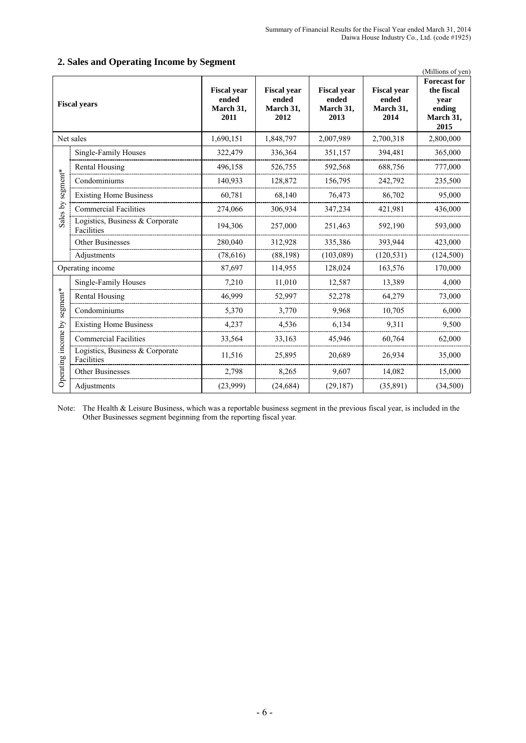|                     | $\sim$ per ating ancount $\sim$ , $\sim$<br>(Millions of yen) |                                                  |                                                  |                                                  |                                                  |                                                                          |  |  |  |
|---------------------|---------------------------------------------------------------|--------------------------------------------------|--------------------------------------------------|--------------------------------------------------|--------------------------------------------------|--------------------------------------------------------------------------|--|--|--|
| <b>Fiscal years</b> |                                                               | <b>Fiscal year</b><br>ended<br>March 31,<br>2011 | <b>Fiscal year</b><br>ended<br>March 31,<br>2012 | <b>Fiscal year</b><br>ended<br>March 31,<br>2013 | <b>Fiscal year</b><br>ended<br>March 31,<br>2014 | <b>Forecast for</b><br>the fiscal<br>year<br>ending<br>March 31,<br>2015 |  |  |  |
|                     | Net sales                                                     | 1,690,151                                        | 1,848,797                                        | 2,007,989                                        | 2,700,318                                        | 2,800,000                                                                |  |  |  |
|                     | Single-Family Houses                                          | 322,479                                          | 336,364                                          | 351,157                                          | 394,481                                          | 365,000                                                                  |  |  |  |
|                     | <b>Rental Housing</b>                                         | 496,158                                          | 526,755                                          | 592,568                                          | 688,756                                          | 777,000                                                                  |  |  |  |
| segment*            | Condominiums                                                  | 140,933                                          | 128,872                                          | 156,795                                          | 242,792                                          | 235,500                                                                  |  |  |  |
|                     | <b>Existing Home Business</b>                                 | 60,781                                           | 68,140                                           | 76,473                                           | 86,702                                           | 95,000                                                                   |  |  |  |
| Sales by            | <b>Commercial Facilities</b>                                  | 274,066                                          | 306,934                                          | 347,234                                          | 421,981                                          | 436,000                                                                  |  |  |  |
|                     | Logistics, Business & Corporate<br>Facilities                 | 194,306                                          | 257,000                                          | 251,463                                          | 592,190                                          | 593,000                                                                  |  |  |  |
|                     | Other Businesses                                              | 280,040                                          | 312,928                                          | 335,386                                          | 393,944                                          | 423,000                                                                  |  |  |  |
|                     | Adjustments                                                   | (78, 616)                                        | (88, 198)                                        | (103, 089)                                       | (120, 531)                                       | (124, 500)                                                               |  |  |  |
|                     | Operating income                                              | 87,697                                           | 114,955                                          | 128,024                                          | 163,576                                          | 170,000                                                                  |  |  |  |
|                     | Single-Family Houses                                          | 7,210                                            | 11,010                                           | 12,587                                           | 13,389                                           | 4,000                                                                    |  |  |  |
|                     | Rental Housing                                                | 46,999                                           | 52,997                                           | 52,278                                           | 64,279                                           | 73,000                                                                   |  |  |  |
| segment*            | Condominiums                                                  | 5,370                                            | 3,770                                            | 9,968                                            | 10,705                                           | 6,000                                                                    |  |  |  |
|                     | <b>Existing Home Business</b>                                 | 4,237                                            | 4,536                                            | 6,134                                            | 9,311                                            | 9,500                                                                    |  |  |  |
|                     | <b>Commercial Facilities</b>                                  | 33,564                                           | 33,163                                           | 45,946                                           | 60,764                                           | 62,000                                                                   |  |  |  |
| Operating income by | Logistics, Business & Corporate<br>Facilities                 | 11,516                                           | 25,895                                           | 20,689                                           | 26,934                                           | 35,000                                                                   |  |  |  |
|                     | Other Businesses                                              | 2,798                                            | 8,265                                            | 9,607                                            | 14,082                                           | 15,000                                                                   |  |  |  |
|                     | Adjustments                                                   | (23,999)                                         | (24, 684)                                        | (29, 187)                                        | (35, 891)                                        | (34,500)                                                                 |  |  |  |

# **2. Sales and Operating Income by Segment**

Note: The Health & Leisure Business, which was a reportable business segment in the previous fiscal year, is included in the Other Businesses segment beginning from the reporting fiscal year.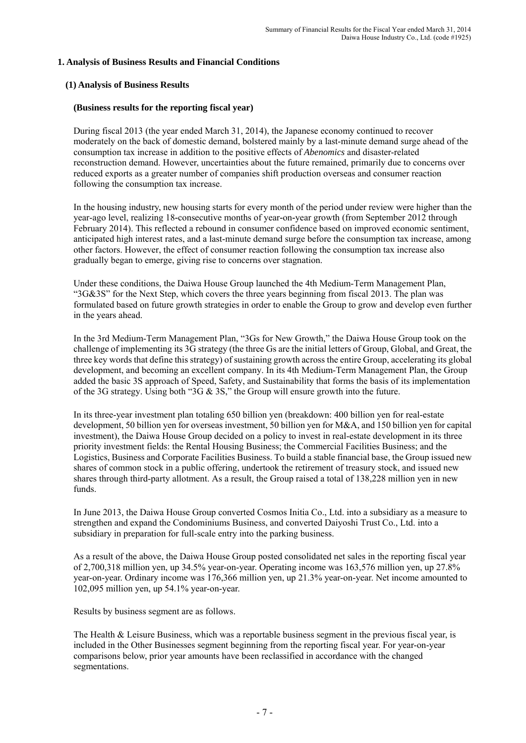## **1. Analysis of Business Results and Financial Conditions**

## **(1) Analysis of Business Results**

## **(Business results for the reporting fiscal year)**

During fiscal 2013 (the year ended March 31, 2014), the Japanese economy continued to recover moderately on the back of domestic demand, bolstered mainly by a last-minute demand surge ahead of the consumption tax increase in addition to the positive effects of *Abenomics* and disaster-related reconstruction demand. However, uncertainties about the future remained, primarily due to concerns over reduced exports as a greater number of companies shift production overseas and consumer reaction following the consumption tax increase.

In the housing industry, new housing starts for every month of the period under review were higher than the year-ago level, realizing 18**-**consecutive months of year**-**on**-**year growth (from September 2012 through February 2014). This reflected a rebound in consumer confidence based on improved economic sentiment, anticipated high interest rates, and a last-minute demand surge before the consumption tax increase, among other factors. However, the effect of consumer reaction following the consumption tax increase also gradually began to emerge, giving rise to concerns over stagnation.

Under these conditions, the Daiwa House Group launched the 4th Medium-Term Management Plan, "3G&3S" for the Next Step, which covers the three years beginning from fiscal 2013. The plan was formulated based on future growth strategies in order to enable the Group to grow and develop even further in the years ahead.

In the 3rd Medium-Term Management Plan, "3Gs for New Growth," the Daiwa House Group took on the challenge of implementing its 3G strategy (the three Gs are the initial letters of Group, Global, and Great, the three key words that define this strategy) of sustaining growth across the entire Group, accelerating its global development, and becoming an excellent company. In its 4th Medium-Term Management Plan, the Group added the basic 3S approach of Speed, Safety, and Sustainability that forms the basis of its implementation of the 3G strategy. Using both "3G & 3S," the Group will ensure growth into the future.

In its three-year investment plan totaling 650 billion yen (breakdown: 400 billion yen for real-estate development, 50 billion yen for overseas investment, 50 billion yen for M&A, and 150 billion yen for capital investment), the Daiwa House Group decided on a policy to invest in real-estate development in its three priority investment fields: the Rental Housing Business; the Commercial Facilities Business; and the Logistics, Business and Corporate Facilities Business. To build a stable financial base, the Group issued new shares of common stock in a public offering, undertook the retirement of treasury stock, and issued new shares through third-party allotment. As a result, the Group raised a total of 138,228 million yen in new funds.

In June 2013, the Daiwa House Group converted Cosmos Initia Co., Ltd. into a subsidiary as a measure to strengthen and expand the Condominiums Business, and converted Daiyoshi Trust Co., Ltd. into a subsidiary in preparation for full-scale entry into the parking business.

As a result of the above, the Daiwa House Group posted consolidated net sales in the reporting fiscal year of 2,700,318 million yen, up 34.5% year-on-year. Operating income was 163,576 million yen, up 27.8% year-on-year. Ordinary income was 176,366 million yen, up 21.3% year-on-year. Net income amounted to 102,095 million yen, up 54.1% year-on-year.

Results by business segment are as follows.

The Health & Leisure Business, which was a reportable business segment in the previous fiscal year, is included in the Other Businesses segment beginning from the reporting fiscal year. For year-on-year comparisons below, prior year amounts have been reclassified in accordance with the changed segmentations.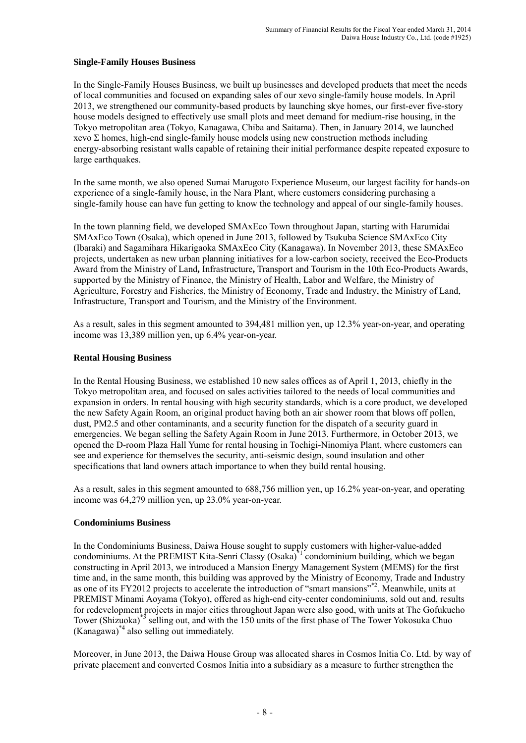## **Single-Family Houses Business**

In the Single-Family Houses Business, we built up businesses and developed products that meet the needs of local communities and focused on expanding sales of our xevo single**-**family house models. In April 2013, we strengthened our community-based products by launching skye homes, our first-ever five-story house models designed to effectively use small plots and meet demand for medium-rise housing, in the Tokyo metropolitan area (Tokyo, Kanagawa, Chiba and Saitama). Then, in January 2014, we launched xevo  $\Sigma$  homes, high-end single-family house models using new construction methods including energy-absorbing resistant walls capable of retaining their initial performance despite repeated exposure to large earthquakes.

In the same month, we also opened Sumai Marugoto Experience Museum, our largest facility for hands-on experience of a single-family house, in the Nara Plant, where customers considering purchasing a single-family house can have fun getting to know the technology and appeal of our single-family houses.

In the town planning field, we developed SMAxEco Town throughout Japan, starting with Harumidai SMAxEco Town (Osaka), which opened in June 2013, followed by Tsukuba Science SMAxEco City (Ibaraki) and Sagamihara Hikarigaoka SMAxEco City (Kanagawa). In November 2013, these SMAxEco projects, undertaken as new urban planning initiatives for a low-carbon society, received the Eco**-**Products Award from the Ministry of Land**,** Infrastructure**,** Transport and Tourism in the 10th Eco**-**Products Awards, supported by the Ministry of Finance, the Ministry of Health, Labor and Welfare, the Ministry of Agriculture, Forestry and Fisheries, the Ministry of Economy, Trade and Industry, the Ministry of Land, Infrastructure, Transport and Tourism, and the Ministry of the Environment.

As a result, sales in this segment amounted to 394,481 million yen, up 12.3% year-on-year, and operating income was 13,389 million yen, up 6.4% year-on-year.

## **Rental Housing Business**

In the Rental Housing Business, we established 10 new sales offices as of April 1, 2013, chiefly in the Tokyo metropolitan area, and focused on sales activities tailored to the needs of local communities and expansion in orders. In rental housing with high security standards, which is a core product, we developed the new Safety Again Room, an original product having both an air shower room that blows off pollen, dust, PM2.5 and other contaminants, and a security function for the dispatch of a security guard in emergencies. We began selling the Safety Again Room in June 2013. Furthermore, in October 2013, we opened the D-room Plaza Hall Yume for rental housing in Tochigi-Ninomiya Plant, where customers can see and experience for themselves the security, anti-seismic design, sound insulation and other specifications that land owners attach importance to when they build rental housing.

As a result, sales in this segment amounted to 688,756 million yen, up 16.2% year-on-year, and operating income was 64,279 million yen, up 23.0% year-on-year.

# **Condominiums Business**

In the Condominiums Business, Daiwa House sought to supply customers with higher-value-added condominiums. At the PREMIST Kita-Senri Classy (Osaka)<sup>\*1</sup> condominium building, which we began constructing in April 2013, we introduced a Mansion Energy Management System (MEMS) for the first time and, in the same month, this building was approved by the Ministry of Economy, Trade and Industry as one of its FY2012 projects to accelerate the introduction of "smart mansions"\*2. Meanwhile, units at PREMIST Minami Aoyama (Tokyo), offered as high-end city-center condominiums, sold out and, results for redevelopment projects in major cities throughout Japan were also good, with units at The Gofukucho Tower (Shizuoka)<sup>\*3</sup> selling out, and with the 150 units of the first phase of The Tower Yokosuka Chuo (Kanagawa)\*4 also selling out immediately.

Moreover, in June 2013, the Daiwa House Group was allocated shares in Cosmos Initia Co. Ltd. by way of private placement and converted Cosmos Initia into a subsidiary as a measure to further strengthen the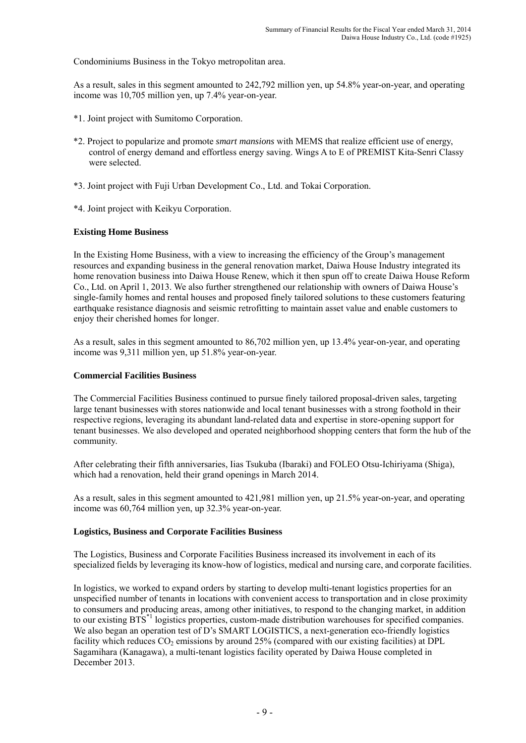Condominiums Business in the Tokyo metropolitan area.

As a result, sales in this segment amounted to 242,792 million yen, up 54.8% year-on-year, and operating income was 10,705 million yen, up 7.4% year-on-year.

- \*1. Joint project with Sumitomo Corporation.
- \*2. Project to popularize and promote *smart mansions* with MEMS that realize efficient use of energy, control of energy demand and effortless energy saving. Wings A to E of PREMIST Kita-Senri Classy were selected.
- \*3. Joint project with Fuji Urban Development Co., Ltd. and Tokai Corporation.
- \*4. Joint project with Keikyu Corporation.

## **Existing Home Business**

In the Existing Home Business, with a view to increasing the efficiency of the Group's management resources and expanding business in the general renovation market, Daiwa House Industry integrated its home renovation business into Daiwa House Renew, which it then spun off to create Daiwa House Reform Co., Ltd. on April 1, 2013. We also further strengthened our relationship with owners of Daiwa House's single-family homes and rental houses and proposed finely tailored solutions to these customers featuring earthquake resistance diagnosis and seismic retrofitting to maintain asset value and enable customers to enjoy their cherished homes for longer.

As a result, sales in this segment amounted to 86,702 million yen, up 13.4% year-on-year, and operating income was 9,311 million yen, up 51.8% year-on-year.

## **Commercial Facilities Business**

The Commercial Facilities Business continued to pursue finely tailored proposal-driven sales, targeting large tenant businesses with stores nationwide and local tenant businesses with a strong foothold in their respective regions, leveraging its abundant land-related data and expertise in store-opening support for tenant businesses. We also developed and operated neighborhood shopping centers that form the hub of the community.

After celebrating their fifth anniversaries, Iias Tsukuba (Ibaraki) and FOLEO Otsu-Ichiriyama (Shiga), which had a renovation, held their grand openings in March 2014.

As a result, sales in this segment amounted to 421,981 million yen, up 21.5% year-on-year, and operating income was 60,764 million yen, up 32.3% year-on-year.

## **Logistics, Business and Corporate Facilities Business**

The Logistics, Business and Corporate Facilities Business increased its involvement in each of its specialized fields by leveraging its know-how of logistics, medical and nursing care, and corporate facilities.

In logistics, we worked to expand orders by starting to develop multi-tenant logistics properties for an unspecified number of tenants in locations with convenient access to transportation and in close proximity to consumers and producing areas, among other initiatives, to respond to the changing market, in addition to our existing BTS\*1 logistics properties, custom-made distribution warehouses for specified companies. We also began an operation test of D's SMART LOGISTICS, a next-generation eco-friendly logistics facility which reduces CO<sub>2</sub> emissions by around 25% (compared with our existing facilities) at DPL Sagamihara (Kanagawa), a multi-tenant logistics facility operated by Daiwa House completed in December 2013.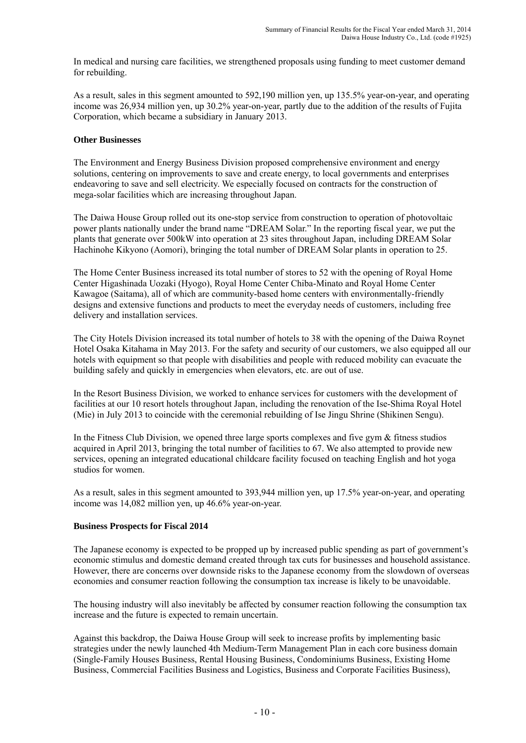In medical and nursing care facilities, we strengthened proposals using funding to meet customer demand for rebuilding.

As a result, sales in this segment amounted to 592,190 million yen, up 135.5% year-on-year, and operating income was 26,934 million yen, up 30.2% year-on-year, partly due to the addition of the results of Fujita Corporation, which became a subsidiary in January 2013.

### **Other Businesses**

The Environment and Energy Business Division proposed comprehensive environment and energy solutions, centering on improvements to save and create energy, to local governments and enterprises endeavoring to save and sell electricity. We especially focused on contracts for the construction of mega-solar facilities which are increasing throughout Japan.

The Daiwa House Group rolled out its one**-**stop service from construction to operation of photovoltaic power plants nationally under the brand name "DREAM Solar." In the reporting fiscal year, we put the plants that generate over 500kW into operation at 23 sites throughout Japan, including DREAM Solar Hachinohe Kikyono (Aomori), bringing the total number of DREAM Solar plants in operation to 25.

The Home Center Business increased its total number of stores to 52 with the opening of Royal Home Center Higashinada Uozaki (Hyogo), Royal Home Center Chiba-Minato and Royal Home Center Kawagoe (Saitama), all of which are community-based home centers with environmentally-friendly designs and extensive functions and products to meet the everyday needs of customers, including free delivery and installation services.

The City Hotels Division increased its total number of hotels to 38 with the opening of the Daiwa Roynet Hotel Osaka Kitahama in May 2013. For the safety and security of our customers, we also equipped all our hotels with equipment so that people with disabilities and people with reduced mobility can evacuate the building safely and quickly in emergencies when elevators, etc. are out of use.

In the Resort Business Division, we worked to enhance services for customers with the development of facilities at our 10 resort hotels throughout Japan, including the renovation of the Ise-Shima Royal Hotel (Mie) in July 2013 to coincide with the ceremonial rebuilding of Ise Jingu Shrine (Shikinen Sengu).

In the Fitness Club Division, we opened three large sports complexes and five gym & fitness studios acquired in April 2013, bringing the total number of facilities to 67. We also attempted to provide new services, opening an integrated educational childcare facility focused on teaching English and hot yoga studios for women.

As a result, sales in this segment amounted to 393,944 million yen, up 17.5% year-on-year, and operating income was 14,082 million yen, up 46.6% year-on-year.

#### **Business Prospects for Fiscal 2014**

The Japanese economy is expected to be propped up by increased public spending as part of government's economic stimulus and domestic demand created through tax cuts for businesses and household assistance. However, there are concerns over downside risks to the Japanese economy from the slowdown of overseas economies and consumer reaction following the consumption tax increase is likely to be unavoidable.

The housing industry will also inevitably be affected by consumer reaction following the consumption tax increase and the future is expected to remain uncertain.

Against this backdrop, the Daiwa House Group will seek to increase profits by implementing basic strategies under the newly launched 4th Medium-Term Management Plan in each core business domain (Single-Family Houses Business, Rental Housing Business, Condominiums Business, Existing Home Business, Commercial Facilities Business and Logistics, Business and Corporate Facilities Business),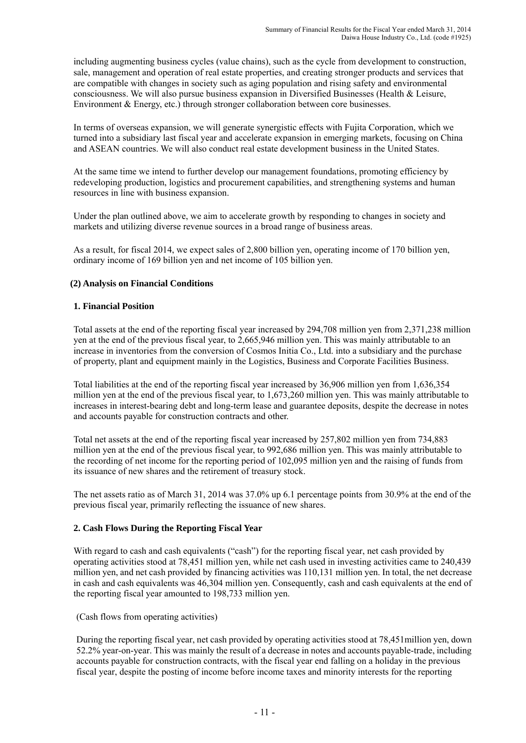including augmenting business cycles (value chains), such as the cycle from development to construction, sale, management and operation of real estate properties, and creating stronger products and services that are compatible with changes in society such as aging population and rising safety and environmental consciousness. We will also pursue business expansion in Diversified Businesses (Health & Leisure, Environment & Energy, etc.) through stronger collaboration between core businesses.

In terms of overseas expansion, we will generate synergistic effects with Fujita Corporation, which we turned into a subsidiary last fiscal year and accelerate expansion in emerging markets, focusing on China and ASEAN countries. We will also conduct real estate development business in the United States.

At the same time we intend to further develop our management foundations, promoting efficiency by redeveloping production, logistics and procurement capabilities, and strengthening systems and human resources in line with business expansion.

Under the plan outlined above, we aim to accelerate growth by responding to changes in society and markets and utilizing diverse revenue sources in a broad range of business areas.

As a result, for fiscal 2014, we expect sales of 2,800 billion yen, operating income of 170 billion yen, ordinary income of 169 billion yen and net income of 105 billion yen.

## **(2) Analysis on Financial Conditions**

## **1. Financial Position**

Total assets at the end of the reporting fiscal year increased by 294,708 million yen from 2,371,238 million yen at the end of the previous fiscal year, to 2,665,946 million yen. This was mainly attributable to an increase in inventories from the conversion of Cosmos Initia Co., Ltd. into a subsidiary and the purchase of property, plant and equipment mainly in the Logistics, Business and Corporate Facilities Business.

Total liabilities at the end of the reporting fiscal year increased by 36,906 million yen from 1,636,354 million yen at the end of the previous fiscal year, to 1,673,260 million yen. This was mainly attributable to increases in interest-bearing debt and long-term lease and guarantee deposits, despite the decrease in notes and accounts payable for construction contracts and other.

Total net assets at the end of the reporting fiscal year increased by 257,802 million yen from 734,883 million yen at the end of the previous fiscal year, to 992,686 million yen. This was mainly attributable to the recording of net income for the reporting period of 102,095 million yen and the raising of funds from its issuance of new shares and the retirement of treasury stock.

The net assets ratio as of March 31, 2014 was 37.0% up 6.1 percentage points from 30.9% at the end of the previous fiscal year, primarily reflecting the issuance of new shares.

## **2. Cash Flows During the Reporting Fiscal Year**

With regard to cash and cash equivalents ("cash") for the reporting fiscal year, net cash provided by operating activities stood at 78,451 million yen, while net cash used in investing activities came to 240,439 million yen, and net cash provided by financing activities was 110,131 million yen. In total, the net decrease in cash and cash equivalents was 46,304 million yen. Consequently, cash and cash equivalents at the end of the reporting fiscal year amounted to 198,733 million yen.

(Cash flows from operating activities)

During the reporting fiscal year, net cash provided by operating activities stood at 78,451million yen, down 52.2% year-on-year. This was mainly the result of a decrease in notes and accounts payable-trade, including accounts payable for construction contracts, with the fiscal year end falling on a holiday in the previous fiscal year, despite the posting of income before income taxes and minority interests for the reporting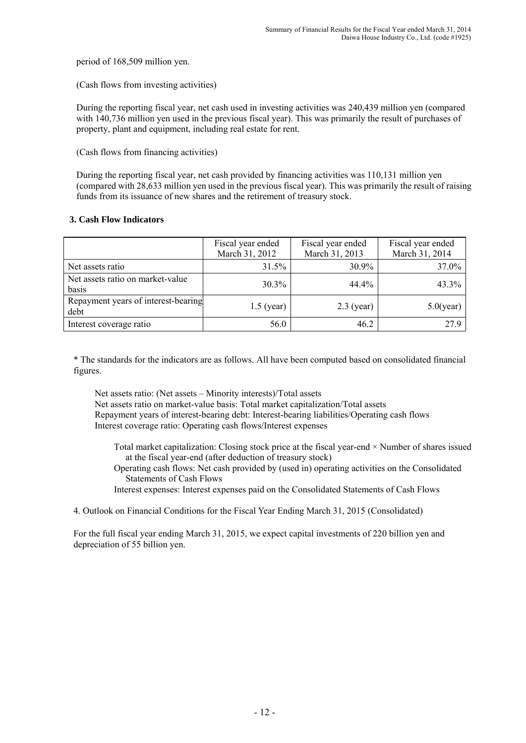period of 168,509 million yen.

(Cash flows from investing activities)

During the reporting fiscal year, net cash used in investing activities was 240,439 million yen (compared with 140,736 million yen used in the previous fiscal year). This was primarily the result of purchases of property, plant and equipment, including real estate for rent.

(Cash flows from financing activities)

During the reporting fiscal year, net cash provided by financing activities was 110,131 million yen (compared with 28,633 million yen used in the previous fiscal year). This was primarily the result of raising funds from its issuance of new shares and the retirement of treasury stock.

## **3. Cash Flow Indicators**

|                                             | Fiscal year ended<br>March 31, 2012 | Fiscal year ended<br>March 31, 2013 | Fiscal year ended<br>March 31, 2014 |
|---------------------------------------------|-------------------------------------|-------------------------------------|-------------------------------------|
| Net assets ratio                            | 31.5%                               | 30.9%                               | 37.0%                               |
| Net assets ratio on market-value<br>basis   | $30.3\%$                            | 44.4%                               | 43.3%                               |
| Repayment years of interest-bearing<br>debt | $1.5$ (year)                        | $2.3$ (year)                        | $5.0$ (year)                        |
| Interest coverage ratio                     | 56.0                                | 46.2                                | 27.9                                |

\* The standards for the indicators are as follows. All have been computed based on consolidated financial figures.

Net assets ratio: (Net assets – Minority interests)/Total assets Net assets ratio on market-value basis: Total market capitalization/Total assets Repayment years of interest-bearing debt: Interest-bearing liabilities/Operating cash flows Interest coverage ratio: Operating cash flows/Interest expenses

- Total market capitalization: Closing stock price at the fiscal year-end  $\times$  Number of shares issued at the fiscal year-end (after deduction of treasury stock)
- Operating cash flows: Net cash provided by (used in) operating activities on the Consolidated Statements of Cash Flows
- Interest expenses: Interest expenses paid on the Consolidated Statements of Cash Flows

4. Outlook on Financial Conditions for the Fiscal Year Ending March 31, 2015 (Consolidated)

For the full fiscal year ending March 31, 2015, we expect capital investments of 220 billion yen and depreciation of 55 billion yen.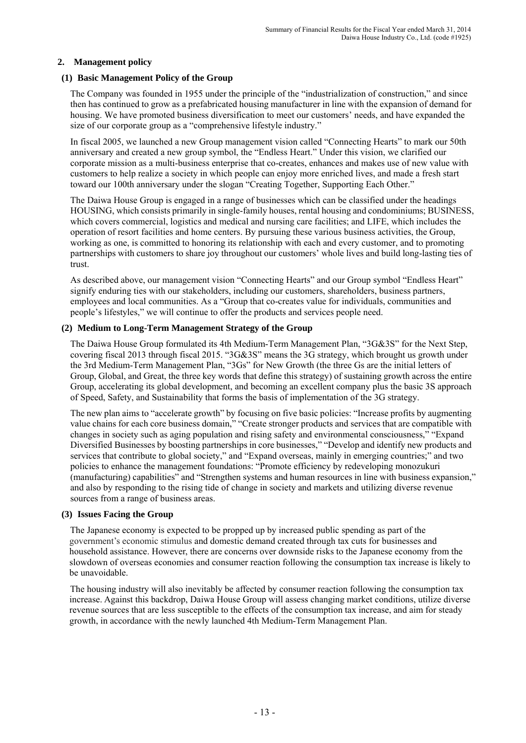## **2. Management policy**

## **(1) Basic Management Policy of the Group**

The Company was founded in 1955 under the principle of the "industrialization of construction," and since then has continued to grow as a prefabricated housing manufacturer in line with the expansion of demand for housing. We have promoted business diversification to meet our customers' needs, and have expanded the size of our corporate group as a "comprehensive lifestyle industry."

In fiscal 2005, we launched a new Group management vision called "Connecting Hearts" to mark our 50th anniversary and created a new group symbol, the "Endless Heart." Under this vision, we clarified our corporate mission as a multi-business enterprise that co-creates, enhances and makes use of new value with customers to help realize a society in which people can enjoy more enriched lives, and made a fresh start toward our 100th anniversary under the slogan "Creating Together, Supporting Each Other."

The Daiwa House Group is engaged in a range of businesses which can be classified under the headings HOUSING, which consists primarily in single-family houses, rental housing and condominiums; BUSINESS, which covers commercial, logistics and medical and nursing care facilities; and LIFE, which includes the operation of resort facilities and home centers. By pursuing these various business activities, the Group, working as one, is committed to honoring its relationship with each and every customer, and to promoting partnerships with customers to share joy throughout our customers' whole lives and build long-lasting ties of trust.

As described above, our management vision "Connecting Hearts" and our Group symbol "Endless Heart" signify enduring ties with our stakeholders, including our customers, shareholders, business partners, employees and local communities. As a "Group that co-creates value for individuals, communities and people's lifestyles," we will continue to offer the products and services people need.

## **(2) Medium to Long-Term Management Strategy of the Group**

The Daiwa House Group formulated its 4th Medium-Term Management Plan, "3G&3S" for the Next Step, covering fiscal 2013 through fiscal 2015. "3G&3S" means the 3G strategy, which brought us growth under the 3rd Medium-Term Management Plan, "3Gs" for New Growth (the three Gs are the initial letters of Group, Global, and Great, the three key words that define this strategy) of sustaining growth across the entire Group, accelerating its global development, and becoming an excellent company plus the basic 3S approach of Speed, Safety, and Sustainability that forms the basis of implementation of the 3G strategy.

The new plan aims to "accelerate growth" by focusing on five basic policies: "Increase profits by augmenting value chains for each core business domain," "Create stronger products and services that are compatible with changes in society such as aging population and rising safety and environmental consciousness," "Expand Diversified Businesses by boosting partnerships in core businesses," "Develop and identify new products and services that contribute to global society," and "Expand overseas, mainly in emerging countries;" and two policies to enhance the management foundations: "Promote efficiency by redeveloping monozukuri (manufacturing) capabilities" and "Strengthen systems and human resources in line with business expansion," and also by responding to the rising tide of change in society and markets and utilizing diverse revenue sources from a range of business areas.

## **(3) Issues Facing the Group**

The Japanese economy is expected to be propped up by increased public spending as part of the government's economic stimulus and domestic demand created through tax cuts for businesses and household assistance. However, there are concerns over downside risks to the Japanese economy from the slowdown of overseas economies and consumer reaction following the consumption tax increase is likely to be unavoidable.

The housing industry will also inevitably be affected by consumer reaction following the consumption tax increase. Against this backdrop, Daiwa House Group will assess changing market conditions, utilize diverse revenue sources that are less susceptible to the effects of the consumption tax increase, and aim for steady growth, in accordance with the newly launched 4th Medium-Term Management Plan.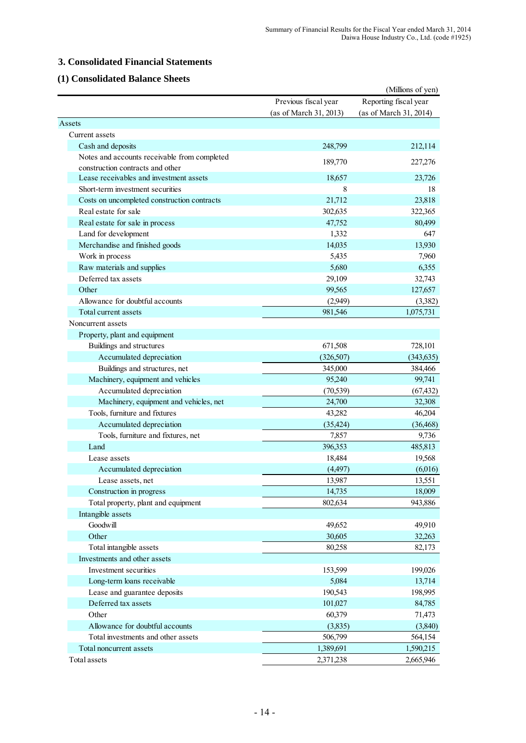# **3. Consolidated Financial Statements**

# **(1) Consolidated Balance Sheets**

|                                              |                        | (Millions of yen)      |
|----------------------------------------------|------------------------|------------------------|
|                                              | Previous fiscal year   | Reporting fiscal year  |
|                                              | (as of March 31, 2013) | (as of March 31, 2014) |
| Assets                                       |                        |                        |
| Current assets                               |                        |                        |
| Cash and deposits                            | 248,799                | 212,114                |
| Notes and accounts receivable from completed | 189,770                |                        |
| construction contracts and other             |                        | 227,276                |
| Lease receivables and investment assets      | 18,657                 | 23,726                 |
| Short-term investment securities             | 8                      | 18                     |
| Costs on uncompleted construction contracts  | 21,712                 | 23,818                 |
| Real estate for sale                         | 302,635                | 322,365                |
| Real estate for sale in process              | 47,752                 | 80,499                 |
| Land for development                         | 1,332                  | 647                    |
| Merchandise and finished goods               | 14,035                 | 13,930                 |
| Work in process                              | 5,435                  | 7,960                  |
| Raw materials and supplies                   | 5,680                  | 6,355                  |
| Deferred tax assets                          | 29,109                 | 32,743                 |
| Other                                        | 99,565                 | 127,657                |
| Allowance for doubtful accounts              | (2,949)                | (3,382)                |
| Total current assets                         | 981,546                | 1,075,731              |
| Noncurrent assets                            |                        |                        |
| Property, plant and equipment                |                        |                        |
| Buildings and structures                     | 671,508                | 728,101                |
| Accumulated depreciation                     | (326, 507)             | (343, 635)             |
| Buildings and structures, net                | 345,000                | 384,466                |
| Machinery, equipment and vehicles            | 95,240                 | 99,741                 |
| Accumulated depreciation                     | (70, 539)              | (67, 432)              |
| Machinery, equipment and vehicles, net       | 24,700                 | 32,308                 |
| Tools, furniture and fixtures                | 43,282                 | 46,204                 |
| Accumulated depreciation                     | (35, 424)              | (36, 468)              |
| Tools, furniture and fixtures, net           | 7,857                  | 9,736                  |
| Land                                         | 396,353                | 485,813                |
| Lease assets                                 | 18,484                 | 19,568                 |
| Accumulated depreciation                     | (4,497)                | (6,016)                |
| Lease assets, net                            | 13,987                 | 13,551                 |
| Construction in progress                     | 14,735                 | 18,009                 |
| Total property, plant and equipment          | 802,634                | 943,886                |
| Intangible assets                            |                        |                        |
| Goodwill                                     | 49,652                 | 49,910                 |
| Other                                        | 30,605                 | 32,263                 |
| Total intangible assets                      | 80,258                 | 82,173                 |
| Investments and other assets                 |                        |                        |
| Investment securities                        | 153,599                | 199,026                |
| Long-term loans receivable                   | 5,084                  | 13,714                 |
| Lease and guarantee deposits                 | 190,543                | 198,995                |
| Deferred tax assets                          | 101,027                | 84,785                 |
| Other                                        | 60,379                 | 71,473                 |
| Allowance for doubtful accounts              | (3,835)                | (3,840)                |
| Total investments and other assets           | 506,799                | 564,154                |
| Total noncurrent assets                      | 1,389,691              | 1,590,215              |
| Total assets                                 | 2,371,238              | 2,665,946              |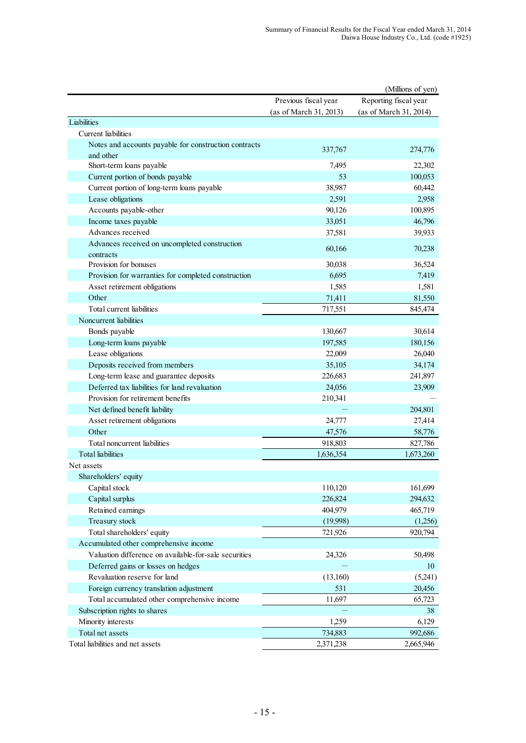|                                                                    |                        | (Millions of yen)      |
|--------------------------------------------------------------------|------------------------|------------------------|
|                                                                    | Previous fiscal year   | Reporting fiscal year  |
|                                                                    | (as of March 31, 2013) | (as of March 31, 2014) |
| Liabilities                                                        |                        |                        |
| <b>Current</b> liabilities                                         |                        |                        |
| Notes and accounts payable for construction contracts<br>and other | 337,767                | 274,776                |
| Short-term loans payable                                           | 7,495                  | 22,302                 |
| Current portion of bonds payable                                   | 53                     | 100,053                |
| Current portion of long-term loans payable                         | 38,987                 | 60,442                 |
| Lease obligations                                                  | 2,591                  | 2,958                  |
| Accounts payable-other                                             | 90,126                 | 100,895                |
| Income taxes payable                                               | 33,051                 | 46,796                 |
| Advances received                                                  | 37,581                 | 39,933                 |
| Advances received on uncompleted construction                      |                        |                        |
| contracts                                                          | 60,166                 | 70,238                 |
| Provision for bonuses                                              | 30,038                 | 36,524                 |
| Provision for warranties for completed construction                | 6,695                  | 7,419                  |
| Asset retirement obligations                                       | 1,585                  | 1,581                  |
| Other                                                              | 71,411                 | 81,550                 |
| Total current liabilities                                          | 717,551                | 845,474                |
| Noncurrent liabilities                                             |                        |                        |
| Bonds payable                                                      | 130,667                | 30,614                 |
| Long-term loans payable                                            | 197,585                | 180,156                |
| Lease obligations                                                  | 22,009                 | 26,040                 |
| Deposits received from members                                     | 35,105                 | 34,174                 |
| Long-term lease and guarantee deposits                             | 226,683                | 241,897                |
| Deferred tax liabilities for land revaluation                      | 24,056                 | 23,909                 |
| Provision for retirement benefits                                  | 210,341                |                        |
| Net defined benefit liability                                      |                        | 204,801                |
|                                                                    |                        |                        |
| Asset retirement obligations<br>Other                              | 24,777                 | 27,414                 |
| Total noncurrent liabilities                                       | 47,576                 | 58,776                 |
|                                                                    | 918,803                | 827,786                |
| <b>Total</b> liabilities                                           | 1,636,354              | 1,673,260              |
| Net assets                                                         |                        |                        |
| Shareholders' equity                                               |                        |                        |
| Capital stock                                                      | 110,120                | 161,699                |
| Capital surplus                                                    | 226,824                | 294,632                |
| Retained earnings                                                  | 404,979                | 465,719                |
| Treasury stock                                                     | (19,998)               | (1,256)                |
| Total shareholders' equity                                         | 721,926                | 920,794                |
| Accumulated other comprehensive income                             |                        |                        |
| Valuation difference on available-for-sale securities              | 24,326                 | 50,498                 |
| Deferred gains or losses on hedges                                 |                        | 10                     |
| Revaluation reserve for land                                       | (13,160)               | (5,241)                |
| Foreign currency translation adjustment                            | 531                    | 20,456                 |
| Total accumulated other comprehensive income                       | 11,697                 | 65,723                 |
| Subscription rights to shares                                      |                        | 38                     |
| Minority interests                                                 | 1,259                  | 6,129                  |
| Total net assets                                                   | 734,883                | 992,686                |
| Total liabilities and net assets                                   | 2,371,238              | 2,665,946              |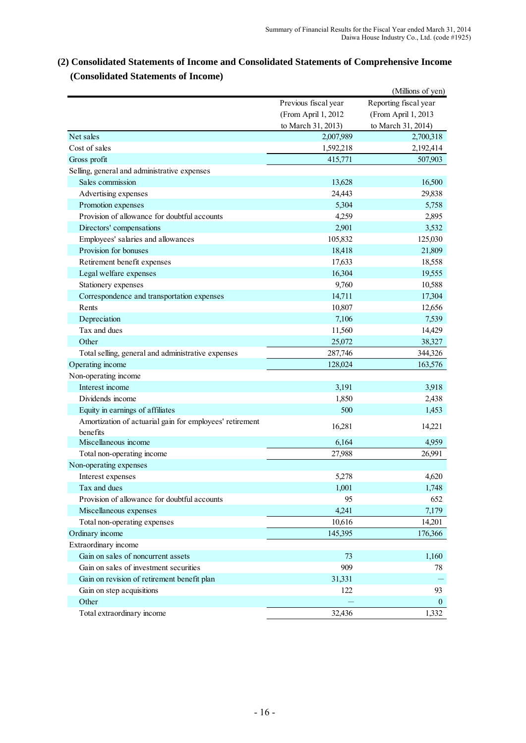|                                                                      |                      | (Millions of yen)     |
|----------------------------------------------------------------------|----------------------|-----------------------|
|                                                                      | Previous fiscal year | Reporting fiscal year |
|                                                                      | (From April 1, 2012  | (From April 1, 2013   |
|                                                                      | to March 31, 2013)   | to March 31, 2014)    |
| Net sales                                                            | 2,007,989            | 2,700,318             |
| Cost of sales                                                        | 1,592,218            | 2,192,414             |
| Gross profit                                                         | 415,771              | 507,903               |
| Selling, general and administrative expenses                         |                      |                       |
| Sales commission                                                     | 13,628               | 16,500                |
| Advertising expenses                                                 | 24,443               | 29,838                |
| Promotion expenses                                                   | 5,304                | 5,758                 |
| Provision of allowance for doubtful accounts                         | 4,259                | 2,895                 |
| Directors' compensations                                             | 2,901                | 3,532                 |
| Employees' salaries and allowances                                   | 105,832              | 125,030               |
| Provision for bonuses                                                | 18,418               | 21,809                |
| Retirement benefit expenses                                          | 17,633               | 18,558                |
| Legal welfare expenses                                               | 16,304               | 19,555                |
| Stationery expenses                                                  | 9,760                | 10,588                |
| Correspondence and transportation expenses                           | 14,711               | 17,304                |
| Rents                                                                | 10,807               | 12,656                |
| Depreciation                                                         | 7,106                | 7,539                 |
| Tax and dues                                                         | 11,560               | 14,429                |
| Other                                                                | 25,072               | 38,327                |
| Total selling, general and administrative expenses                   | 287,746              | 344,326               |
| Operating income                                                     | 128,024              | 163,576               |
| Non-operating income                                                 |                      |                       |
| Interest income                                                      | 3,191                | 3,918                 |
| Dividends income                                                     | 1,850                | 2,438                 |
| Equity in earnings of affiliates                                     | 500                  | 1,453                 |
| Amortization of actuarial gain for employees' retirement<br>benefits | 16,281               | 14,221                |
| Miscellaneous income                                                 | 6,164                | 4,959                 |
| Total non-operating income                                           | 27,988               | 26,991                |
| Non-operating expenses                                               |                      |                       |
| Interest expenses                                                    | 5,278                | 4,620                 |
| Tax and dues                                                         | 1,001                | 1,748                 |
| Provision of allowance for doubtful accounts                         | 95                   | 652                   |
| Miscellaneous expenses                                               | 4,241                | 7,179                 |
| Total non-operating expenses                                         | 10,616               | 14,201                |
| Ordinary income                                                      | 145,395              | 176,366               |
| Extraordinary income                                                 |                      |                       |
| Gain on sales of noncurrent assets                                   | 73                   | 1,160                 |
| Gain on sales of investment securities                               | 909                  | 78                    |
| Gain on revision of retirement benefit plan                          | 31,331               |                       |
| Gain on step acquisitions                                            | 122                  | 93                    |
| Other                                                                |                      | $\mathbf{0}$          |
| Total extraordinary income                                           | 32,436               | 1,332                 |

# **(2) Consolidated Statements of Income and Consolidated Statements of Comprehensive Income (Consolidated Statements of Income)**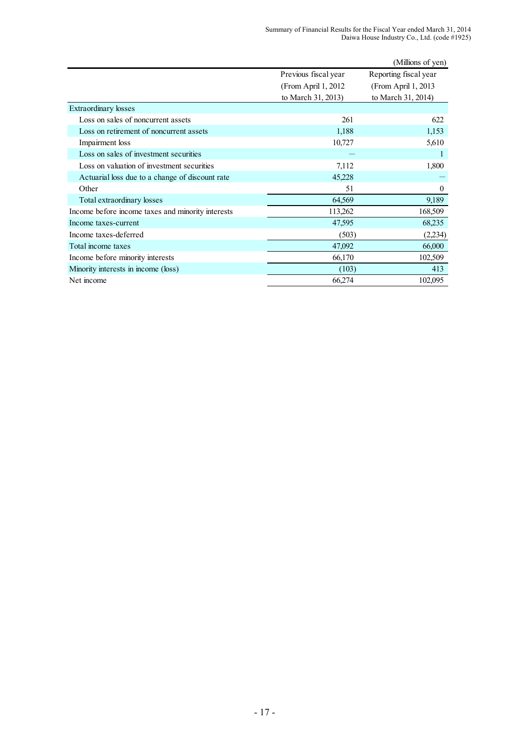|                                                   |                                                                    | (Millions of yen)                                                   |
|---------------------------------------------------|--------------------------------------------------------------------|---------------------------------------------------------------------|
|                                                   | Previous fiscal year<br>(From April 1, 2012)<br>to March 31, 2013) | Reporting fiscal year<br>(From April 1, 2013)<br>to March 31, 2014) |
| <b>Extraordinary losses</b>                       |                                                                    |                                                                     |
| Loss on sales of noncurrent assets                | 261                                                                | 622                                                                 |
| Loss on retirement of noncurrent assets           | 1,188                                                              | 1,153                                                               |
| Impairment loss                                   | 10,727                                                             | 5,610                                                               |
| Loss on sales of investment securities            |                                                                    | L                                                                   |
| Loss on valuation of investment securities        | 7,112                                                              | 1,800                                                               |
| Actuarial loss due to a change of discount rate   | 45,228                                                             |                                                                     |
| Other                                             | 51                                                                 | $\theta$                                                            |
| Total extraordinary losses                        | 64,569                                                             | 9,189                                                               |
| Income before income taxes and minority interests | 113,262                                                            | 168,509                                                             |
| Income taxes-current                              | 47,595                                                             | 68,235                                                              |
| Income taxes-deferred                             | (503)                                                              | (2,234)                                                             |
| Total income taxes                                | 47,092                                                             | 66,000                                                              |
| Income before minority interests                  | 66,170                                                             | 102,509                                                             |
| Minority interests in income (loss)               | (103)                                                              | 413                                                                 |
| Net income                                        | 66,274                                                             | 102,095                                                             |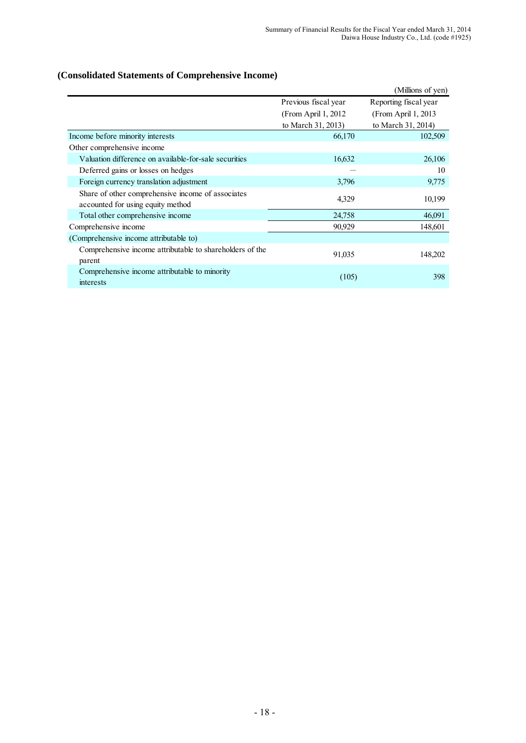# **(Consolidated Statements of Comprehensive Income)**

|                                                                                        |                      | (Millions of yen)     |
|----------------------------------------------------------------------------------------|----------------------|-----------------------|
|                                                                                        | Previous fiscal year | Reporting fiscal year |
|                                                                                        | (From April 1, 2012) | (From April 1, 2013)  |
|                                                                                        | to March 31, 2013)   | to March 31, 2014)    |
| Income before minority interests                                                       | 66,170               | 102,509               |
| Other comprehensive income                                                             |                      |                       |
| Valuation difference on available-for-sale securities                                  | 16,632               | 26,106                |
| Deferred gains or losses on hedges                                                     |                      | 10                    |
| Foreign currency translation adjustment                                                | 3,796                | 9,775                 |
| Share of other comprehensive income of associates<br>accounted for using equity method | 4,329                | 10,199                |
| Total other comprehensive income                                                       | 24,758               | 46,091                |
| Comprehensive income                                                                   | 90,929               | 148,601               |
| (Comprehensive income attributable to)                                                 |                      |                       |
| Comprehensive income attributable to shareholders of the<br>parent                     | 91,035               | 148,202               |
| Comprehensive income attributable to minority<br>interests                             | (105)                | 398                   |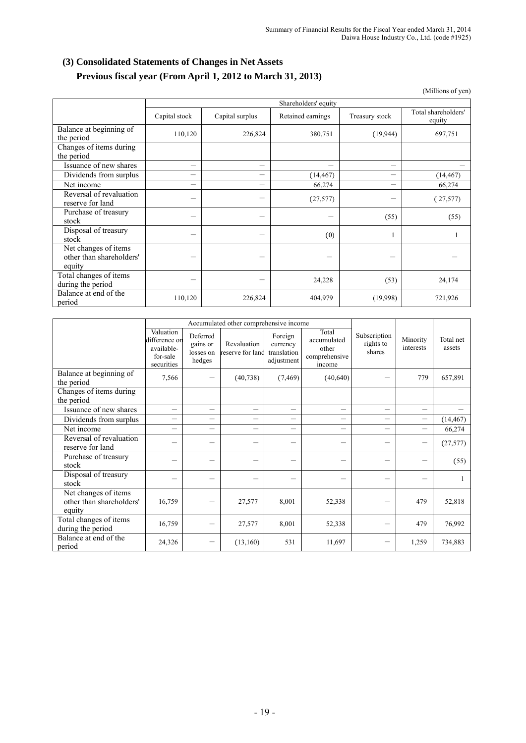# **(3) Consolidated Statements of Changes in Net Assets Previous fiscal year (From April 1, 2012 to March 31, 2013)**

(Millions of yen)

|                                                            |               | Shareholders' equity |                   |                          |                               |  |  |  |
|------------------------------------------------------------|---------------|----------------------|-------------------|--------------------------|-------------------------------|--|--|--|
|                                                            | Capital stock | Capital surplus      | Retained earnings | Treasury stock           | Total shareholders'<br>equity |  |  |  |
| Balance at beginning of<br>the period                      | 110,120       | 226,824              | 380,751           | (19, 944)                | 697,751                       |  |  |  |
| Changes of items during<br>the period                      |               |                      |                   |                          |                               |  |  |  |
| Issuance of new shares                                     | —             | —                    |                   | $\overline{\phantom{0}}$ |                               |  |  |  |
| Dividends from surplus                                     | —             |                      | (14, 467)         |                          | (14, 467)                     |  |  |  |
| Net income                                                 | —             |                      | 66,274            | -                        | 66,274                        |  |  |  |
| Reversal of revaluation<br>reserve for land                |               |                      | (27, 577)         |                          | (27, 577)                     |  |  |  |
| Purchase of treasury<br>stock                              |               | -                    |                   | (55)                     | (55)                          |  |  |  |
| Disposal of treasury<br>stock                              |               |                      | (0)               |                          |                               |  |  |  |
| Net changes of items<br>other than shareholders'<br>equity |               |                      |                   |                          |                               |  |  |  |
| Total changes of items<br>during the period                |               |                      | 24,228            | (53)                     | 24,174                        |  |  |  |
| Balance at end of the<br>period                            | 110,120       | 226,824              | 404,979           | (19,998)                 | 721,926                       |  |  |  |

|                                                            |                                                                    | Accumulated other comprehensive income      |                                 |                                                  |                                                          |                                     |                          |                     |
|------------------------------------------------------------|--------------------------------------------------------------------|---------------------------------------------|---------------------------------|--------------------------------------------------|----------------------------------------------------------|-------------------------------------|--------------------------|---------------------|
|                                                            | Valuation<br>difference on<br>available-<br>for-sale<br>securities | Deferred<br>gains or<br>losses on<br>hedges | Revaluation<br>reserve for land | Foreign<br>currency<br>translation<br>adjustment | Total<br>accumulated<br>other<br>comprehensive<br>income | Subscription<br>rights to<br>shares | Minority<br>interests    | Total net<br>assets |
| Balance at beginning of<br>the period                      | 7,566                                                              |                                             | (40, 738)                       | (7, 469)                                         | (40, 640)                                                |                                     | 779                      | 657,891             |
| Changes of items during<br>the period                      |                                                                    |                                             |                                 |                                                  |                                                          |                                     |                          |                     |
| <b>Issuance of new shares</b>                              | $\equiv$                                                           | $\overline{\phantom{0}}$                    | $\overline{\phantom{0}}$        | $\overline{\phantom{0}}$                         | $\equiv$                                                 | $\overline{\phantom{0}}$            | $\equiv$                 |                     |
| Dividends from surplus                                     | —                                                                  | —                                           | $\overline{\phantom{0}}$        | —                                                | $\qquad \qquad$                                          | —                                   |                          | (14, 467)           |
| Net income                                                 | $\overline{\phantom{0}}$                                           | $\overline{\phantom{0}}$                    | $\overline{\phantom{0}}$        | $\overline{\phantom{0}}$                         | $\overline{\phantom{0}}$                                 | $\overline{\phantom{0}}$            | $\overline{\phantom{0}}$ | 66,274              |
| Reversal of revaluation<br>reserve for land                |                                                                    |                                             |                                 |                                                  |                                                          |                                     | $\overline{\phantom{0}}$ | (27, 577)           |
| Purchase of treasury<br>stock                              |                                                                    | —                                           | $\overline{\phantom{0}}$        |                                                  |                                                          |                                     | —                        | (55)                |
| Disposal of treasury<br>stock                              |                                                                    | —                                           | —                               |                                                  | $\qquad \qquad$                                          | —                                   | —                        |                     |
| Net changes of items<br>other than shareholders'<br>equity | 16,759                                                             | $\overline{\phantom{0}}$                    | 27,577                          | 8,001                                            | 52,338                                                   |                                     | 479                      | 52,818              |
| Total changes of items<br>during the period                | 16,759                                                             |                                             | 27,577                          | 8,001                                            | 52,338                                                   |                                     | 479                      | 76,992              |
| Balance at end of the<br>period                            | 24,326                                                             | -                                           | (13,160)                        | 531                                              | 11,697                                                   |                                     | 1,259                    | 734,883             |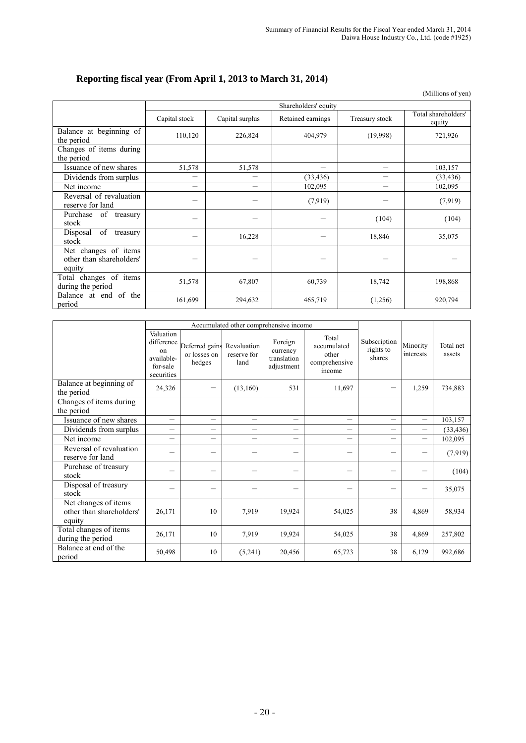# **Reporting fiscal year (From April 1, 2013 to March 31, 2014)**

(Millions of yen)

|                                                            |                          | Shareholders' equity |                   |                |                               |  |  |  |  |
|------------------------------------------------------------|--------------------------|----------------------|-------------------|----------------|-------------------------------|--|--|--|--|
|                                                            | Capital stock            | Capital surplus      | Retained earnings | Treasury stock | Total shareholders'<br>equity |  |  |  |  |
| Balance at beginning of<br>the period                      | 110,120                  | 226,824              | 404,979           | (19,998)       | 721,926                       |  |  |  |  |
| Changes of items during<br>the period                      |                          |                      |                   |                |                               |  |  |  |  |
| Issuance of new shares                                     | 51,578                   | 51,578               | —                 | —              | 103,157                       |  |  |  |  |
| Dividends from surplus                                     |                          |                      | (33, 436)         |                | (33, 436)                     |  |  |  |  |
| Net income                                                 | $\overline{\phantom{0}}$ | —                    | 102,095           |                | 102,095                       |  |  |  |  |
| Reversal of revaluation<br>reserve for land                | -                        |                      | (7,919)           |                | (7,919)                       |  |  |  |  |
| Purchase of treasury<br>stock                              |                          |                      |                   | (104)          | (104)                         |  |  |  |  |
| of<br>Disposal<br>treasury<br>stock                        |                          | 16,228               |                   | 18,846         | 35,075                        |  |  |  |  |
| Net changes of items<br>other than shareholders'<br>equity |                          |                      |                   |                |                               |  |  |  |  |
| Total changes of items<br>during the period                | 51,578                   | 67,807               | 60,739            | 18,742         | 198,868                       |  |  |  |  |
| Balance at end of the<br>period                            | 161,699                  | 294,632              | 465,719           | (1,256)        | 920,794                       |  |  |  |  |

|                                                            |                                                                       | Accumulated other comprehensive income   |                                    |                                                  |                                                          |                                     |                          |                     |
|------------------------------------------------------------|-----------------------------------------------------------------------|------------------------------------------|------------------------------------|--------------------------------------------------|----------------------------------------------------------|-------------------------------------|--------------------------|---------------------|
|                                                            | Valuation<br>difference<br>on<br>available-<br>for-sale<br>securities | Deferred gains<br>or losses on<br>hedges | Revaluation<br>reserve for<br>land | Foreign<br>currency<br>translation<br>adjustment | Total<br>accumulated<br>other<br>comprehensive<br>income | Subscription<br>rights to<br>shares | Minority<br>interests    | Total net<br>assets |
| Balance at beginning of<br>the period                      | 24,326                                                                |                                          | (13,160)                           | 531                                              | 11,697                                                   |                                     | 1,259                    | 734,883             |
| Changes of items during<br>the period                      |                                                                       |                                          |                                    |                                                  |                                                          |                                     |                          |                     |
| Issuance of new shares                                     |                                                                       | $\overline{\phantom{0}}$                 | $\overline{\phantom{0}}$           | $\equiv$                                         | $\equiv$                                                 | $\sim$                              | $\equiv$                 | 103,157             |
| Dividends from surplus                                     |                                                                       |                                          |                                    |                                                  |                                                          |                                     | $\overline{\phantom{0}}$ | (33, 436)           |
| Net income                                                 |                                                                       | $\overline{\phantom{0}}$                 | $\overline{\phantom{0}}$           |                                                  |                                                          |                                     | $\overline{\phantom{0}}$ | 102,095             |
| Reversal of revaluation<br>reserve for land                |                                                                       | -                                        | -                                  |                                                  |                                                          |                                     | —                        | (7,919)             |
| Purchase of treasury<br>stock                              |                                                                       | —                                        |                                    |                                                  |                                                          |                                     | —                        | (104)               |
| Disposal of treasury<br>stock                              |                                                                       |                                          |                                    |                                                  |                                                          |                                     | —                        | 35,075              |
| Net changes of items<br>other than shareholders'<br>equity | 26,171                                                                | 10                                       | 7,919                              | 19,924                                           | 54,025                                                   | 38                                  | 4,869                    | 58,934              |
| Total changes of items<br>during the period                | 26,171                                                                | 10                                       | 7,919                              | 19,924                                           | 54,025                                                   | 38                                  | 4,869                    | 257,802             |
| Balance at end of the<br>period                            | 50,498                                                                | 10                                       | (5,241)                            | 20,456                                           | 65,723                                                   | 38                                  | 6,129                    | 992,686             |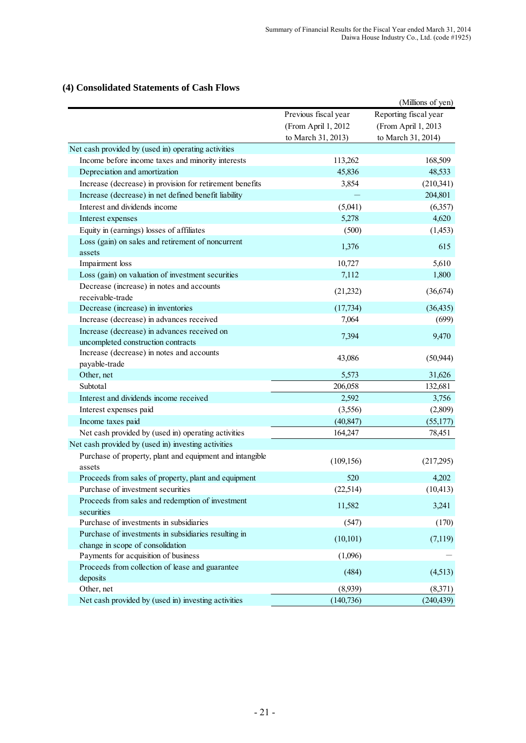# **(4) Consolidated Statements of Cash Flows**

|                                                                    |                      | (Millions of yen)     |
|--------------------------------------------------------------------|----------------------|-----------------------|
|                                                                    | Previous fiscal year | Reporting fiscal year |
|                                                                    | (From April 1, 2012  | (From April 1, 2013   |
|                                                                    | to March 31, 2013)   | to March 31, 2014)    |
| Net cash provided by (used in) operating activities                |                      |                       |
| Income before income taxes and minority interests                  | 113,262              | 168,509               |
| Depreciation and amortization                                      | 45,836               | 48,533                |
| Increase (decrease) in provision for retirement benefits           | 3,854                | (210,341)             |
| Increase (decrease) in net defined benefit liability               |                      | 204,801               |
| Interest and dividends income                                      | (5,041)              | (6,357)               |
| Interest expenses                                                  | 5,278                | 4,620                 |
| Equity in (earnings) losses of affiliates                          | (500)                | (1, 453)              |
| Loss (gain) on sales and retirement of noncurrent                  |                      |                       |
| assets                                                             | 1,376                | 615                   |
| Impairment loss                                                    | 10,727               | 5,610                 |
| Loss (gain) on valuation of investment securities                  | 7,112                | 1,800                 |
| Decrease (increase) in notes and accounts<br>receivable-trade      | (21,232)             | (36, 674)             |
| Decrease (increase) in inventories                                 | (17, 734)            | (36, 435)             |
| Increase (decrease) in advances received                           | 7,064                | (699)                 |
| Increase (decrease) in advances received on                        |                      |                       |
| uncompleted construction contracts                                 | 7,394                | 9,470                 |
| Increase (decrease) in notes and accounts                          |                      |                       |
| payable-trade                                                      | 43,086               | (50, 944)             |
| Other, net                                                         | 5,573                | 31,626                |
| Subtotal                                                           | 206,058              | 132,681               |
| Interest and dividends income received                             | 2,592                | 3,756                 |
| Interest expenses paid                                             | (3,556)              | (2,809)               |
| Income taxes paid                                                  | (40, 847)            | (55,177)              |
| Net cash provided by (used in) operating activities                | 164,247              | 78,451                |
| Net cash provided by (used in) investing activities                |                      |                       |
| Purchase of property, plant and equipment and intangible<br>assets | (109, 156)           | (217,295)             |
| Proceeds from sales of property, plant and equipment               | 520                  | 4,202                 |
| Purchase of investment securities                                  | (22,514)             | (10, 413)             |
| Proceeds from sales and redemption of investment                   |                      |                       |
| securities                                                         | 11,582               | 3,241                 |
| Purchase of investments in subsidiaries                            | (547)                | (170)                 |
| Purchase of investments in subsidiaries resulting in               |                      |                       |
| change in scope of consolidation                                   | (10, 101)            | (7,119)               |
| Payments for acquisition of business                               | (1,096)              |                       |
| Proceeds from collection of lease and guarantee                    |                      |                       |
| deposits                                                           | (484)                | (4,513)               |
| Other, net                                                         | (8,939)              | (8,371)               |
| Net cash provided by (used in) investing activities                | (140, 736)           | (240, 439)            |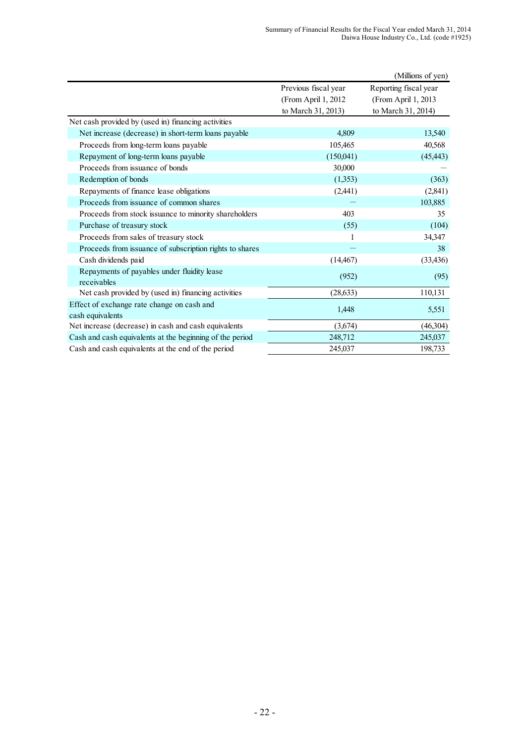|                                                                |                      | (Millions of yen)     |
|----------------------------------------------------------------|----------------------|-----------------------|
|                                                                | Previous fiscal year | Reporting fiscal year |
|                                                                | (From April 1, 2012) | (From April 1, 2013)  |
|                                                                | to March 31, 2013)   | to March 31, 2014)    |
| Net cash provided by (used in) financing activities            |                      |                       |
| Net increase (decrease) in short-term loans payable            | 4,809                | 13,540                |
| Proceeds from long-term loans payable                          | 105,465              | 40,568                |
| Repayment of long-term loans payable                           | (150,041)            | (45, 443)             |
| Proceeds from issuance of bonds                                | 30,000               |                       |
| Redemption of bonds                                            | (1,353)              | (363)                 |
| Repayments of finance lease obligations                        | (2,441)              | (2,841)               |
| Proceeds from issuance of common shares                        |                      | 103,885               |
| Proceeds from stock issuance to minority shareholders          | 403                  | 35                    |
| Purchase of treasury stock                                     | (55)                 | (104)                 |
| Proceeds from sales of treasury stock                          | 1                    | 34,347                |
| Proceeds from issuance of subscription rights to shares        |                      | 38                    |
| Cash dividends paid                                            | (14, 467)            | (33, 436)             |
| Repayments of payables under fluidity lease<br>receivables     | (952)                | (95)                  |
| Net cash provided by (used in) financing activities            | (28, 633)            | 110,131               |
| Effect of exchange rate change on cash and<br>cash equivalents | 1,448                | 5,551                 |
| Net increase (decrease) in cash and cash equivalents           | (3,674)              | (46,304)              |
| Cash and cash equivalents at the beginning of the period       | 248,712              | 245,037               |
| Cash and cash equivalents at the end of the period             | 245,037              | 198,733               |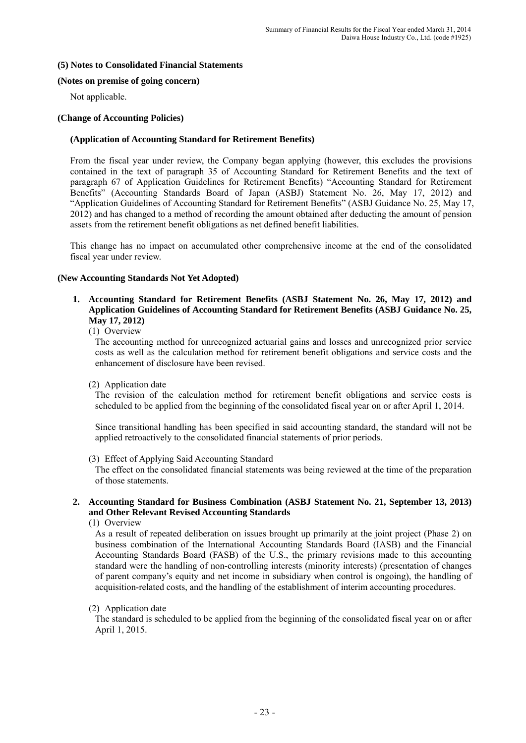### **(5) Notes to Consolidated Financial Statements**

#### **(Notes on premise of going concern)**

Not applicable.

#### **(Change of Accounting Policies)**

#### **(Application of Accounting Standard for Retirement Benefits)**

From the fiscal year under review, the Company began applying (however, this excludes the provisions contained in the text of paragraph 35 of Accounting Standard for Retirement Benefits and the text of paragraph 67 of Application Guidelines for Retirement Benefits) "Accounting Standard for Retirement Benefits" (Accounting Standards Board of Japan (ASBJ) Statement No. 26, May 17, 2012) and "Application Guidelines of Accounting Standard for Retirement Benefits" (ASBJ Guidance No. 25, May 17, 2012) and has changed to a method of recording the amount obtained after deducting the amount of pension assets from the retirement benefit obligations as net defined benefit liabilities.

This change has no impact on accumulated other comprehensive income at the end of the consolidated fiscal year under review.

#### **(New Accounting Standards Not Yet Adopted)**

**1. Accounting Standard for Retirement Benefits (ASBJ Statement No. 26, May 17, 2012) and Application Guidelines of Accounting Standard for Retirement Benefits (ASBJ Guidance No. 25, May 17, 2012)** 

(1) Overview

The accounting method for unrecognized actuarial gains and losses and unrecognized prior service costs as well as the calculation method for retirement benefit obligations and service costs and the enhancement of disclosure have been revised.

(2) Application date

The revision of the calculation method for retirement benefit obligations and service costs is scheduled to be applied from the beginning of the consolidated fiscal year on or after April 1, 2014.

Since transitional handling has been specified in said accounting standard, the standard will not be applied retroactively to the consolidated financial statements of prior periods.

(3) Effect of Applying Said Accounting Standard

The effect on the consolidated financial statements was being reviewed at the time of the preparation of those statements.

## **2. Accounting Standard for Business Combination (ASBJ Statement No. 21, September 13, 2013) and Other Relevant Revised Accounting Standards**

(1) Overview

As a result of repeated deliberation on issues brought up primarily at the joint project (Phase 2) on business combination of the International Accounting Standards Board (IASB) and the Financial Accounting Standards Board (FASB) of the U.S., the primary revisions made to this accounting standard were the handling of non-controlling interests (minority interests) (presentation of changes of parent company's equity and net income in subsidiary when control is ongoing), the handling of acquisition-related costs, and the handling of the establishment of interim accounting procedures.

#### (2) Application date

The standard is scheduled to be applied from the beginning of the consolidated fiscal year on or after April 1, 2015.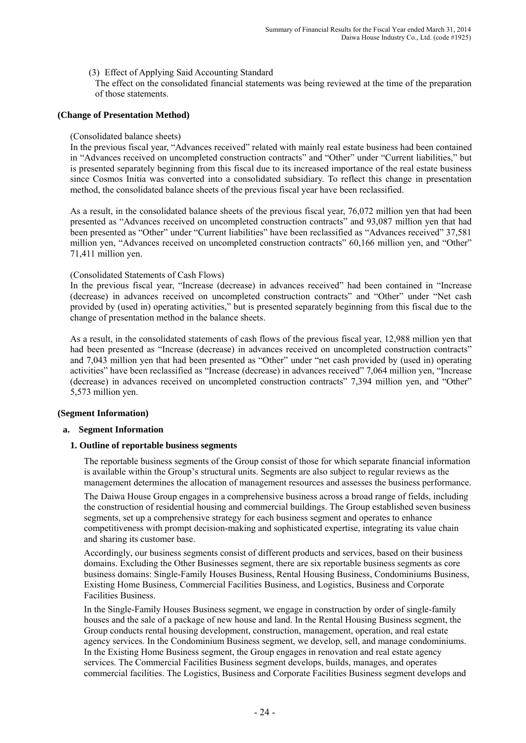(3) Effect of Applying Said Accounting Standard

The effect on the consolidated financial statements was being reviewed at the time of the preparation of those statements.

#### **(Change of Presentation Method)**

#### (Consolidated balance sheets)

In the previous fiscal year, "Advances received" related with mainly real estate business had been contained in "Advances received on uncompleted construction contracts" and "Other" under "Current liabilities," but is presented separately beginning from this fiscal due to its increased importance of the real estate business since Cosmos Initia was converted into a consolidated subsidiary. To reflect this change in presentation method, the consolidated balance sheets of the previous fiscal year have been reclassified.

As a result, in the consolidated balance sheets of the previous fiscal year, 76,072 million yen that had been presented as "Advances received on uncompleted construction contracts" and 93,087 million yen that had been presented as "Other" under "Current liabilities" have been reclassified as "Advances received" 37,581 million yen, "Advances received on uncompleted construction contracts" 60,166 million yen, and "Other" 71,411 million yen.

#### (Consolidated Statements of Cash Flows)

In the previous fiscal year, "Increase (decrease) in advances received" had been contained in "Increase (decrease) in advances received on uncompleted construction contracts" and "Other" under "Net cash provided by (used in) operating activities," but is presented separately beginning from this fiscal due to the change of presentation method in the balance sheets.

As a result, in the consolidated statements of cash flows of the previous fiscal year, 12,988 million yen that had been presented as "Increase (decrease) in advances received on uncompleted construction contracts" and 7,043 million yen that had been presented as "Other" under "net cash provided by (used in) operating activities" have been reclassified as "Increase (decrease) in advances received" 7,064 million yen, "Increase (decrease) in advances received on uncompleted construction contracts" 7,394 million yen, and "Other" 5,573 million yen.

#### **(Segment Information)**

#### **a. Segment Information**

## **1. Outline of reportable business segments**

The reportable business segments of the Group consist of those for which separate financial information is available within the Group's structural units. Segments are also subject to regular reviews as the management determines the allocation of management resources and assesses the business performance.

 The Daiwa House Group engages in a comprehensive business across a broad range of fields, including the construction of residential housing and commercial buildings. The Group established seven business segments, set up a comprehensive strategy for each business segment and operates to enhance competitiveness with prompt decision-making and sophisticated expertise, integrating its value chain and sharing its customer base.

 Accordingly, our business segments consist of different products and services, based on their business domains. Excluding the Other Businesses segment, there are six reportable business segments as core business domains: Single-Family Houses Business, Rental Housing Business, Condominiums Business, Existing Home Business, Commercial Facilities Business, and Logistics, Business and Corporate Facilities Business.

 In the Single-Family Houses Business segment, we engage in construction by order of single-family houses and the sale of a package of new house and land. In the Rental Housing Business segment, the Group conducts rental housing development, construction, management, operation, and real estate agency services. In the Condominium Business segment, we develop, sell, and manage condominiums. In the Existing Home Business segment, the Group engages in renovation and real estate agency services. The Commercial Facilities Business segment develops, builds, manages, and operates commercial facilities. The Logistics, Business and Corporate Facilities Business segment develops and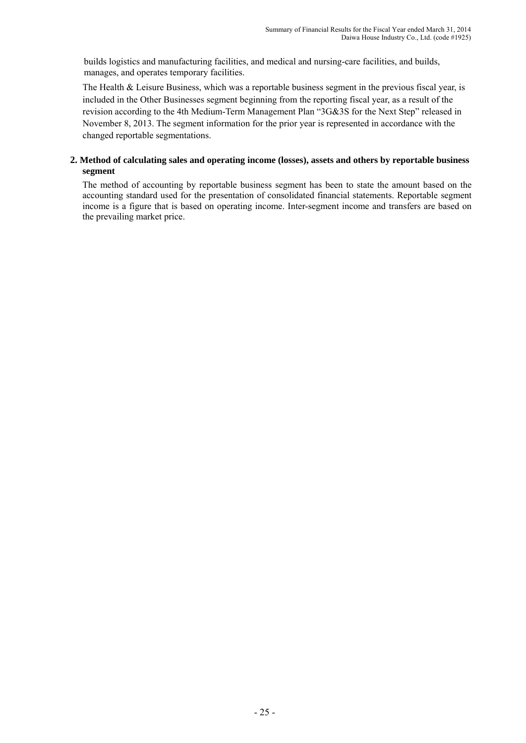builds logistics and manufacturing facilities, and medical and nursing-care facilities, and builds, manages, and operates temporary facilities.

The Health & Leisure Business, which was a reportable business segment in the previous fiscal year, is included in the Other Businesses segment beginning from the reporting fiscal year, as a result of the revision according to the 4th Medium-Term Management Plan "3G&3S for the Next Step" released in November 8, 2013. The segment information for the prior year is represented in accordance with the changed reportable segmentations.

## **2. Method of calculating sales and operating income (losses), assets and others by reportable business segment**

The method of accounting by reportable business segment has been to state the amount based on the accounting standard used for the presentation of consolidated financial statements. Reportable segment income is a figure that is based on operating income. Inter-segment income and transfers are based on the prevailing market price.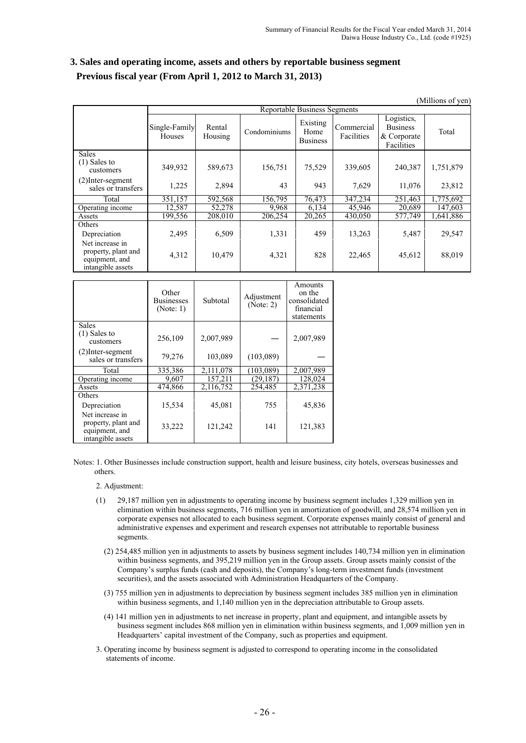| 3. Sales and operating income, assets and others by reportable business segment |
|---------------------------------------------------------------------------------|
| Previous fiscal year (From April 1, 2012 to March 31, 2013)                     |

|                                                                               |                         |                                     |              |                                     |                          |                                                            | (Millions of yen) |  |  |  |  |
|-------------------------------------------------------------------------------|-------------------------|-------------------------------------|--------------|-------------------------------------|--------------------------|------------------------------------------------------------|-------------------|--|--|--|--|
|                                                                               |                         | <b>Reportable Business Segments</b> |              |                                     |                          |                                                            |                   |  |  |  |  |
|                                                                               | Single-Family<br>Houses | Rental<br>Housing                   | Condominiums | Existing<br>Home<br><b>Business</b> | Commercial<br>Facilities | Logistics,<br><b>Business</b><br>& Corporate<br>Facilities | Total             |  |  |  |  |
| <b>Sales</b><br>$(1)$ Sales to<br>customers                                   | 349,932                 | 589,673                             | 156,751      | 75,529                              | 339,605                  | 240,387                                                    | 1,751,879         |  |  |  |  |
| $(2)$ Inter-segment<br>sales or transfers                                     | 1,225                   | 2,894                               | 43           | 943                                 | 7,629                    | 11,076                                                     | 23,812            |  |  |  |  |
| Total                                                                         | 351,157                 | 592,568                             | 156,795      | 76,473                              | 347,234                  | 251,463                                                    | 1,775,692         |  |  |  |  |
| Operating income                                                              | 12,587                  | 52,278                              | 9.968        | 6.134                               | 45,946                   | 20,689                                                     | 147,603           |  |  |  |  |
| Assets                                                                        | 199,556                 | 208,010                             | 206,254      | 20,265                              | 430,050                  | 577,749                                                    | 1,641,886         |  |  |  |  |
| Others<br>Depreciation                                                        | 2,495                   | 6,509                               | 1,331        | 459                                 | 13,263                   | 5,487                                                      | 29,547            |  |  |  |  |
| Net increase in<br>property, plant and<br>equipment, and<br>intangible assets | 4,312                   | 10,479                              | 4,321        | 828                                 | 22,465                   | 45,612                                                     | 88,019            |  |  |  |  |

|                                                                               | Other<br><b>Businesses</b><br>(Note: 1) | Subtotal  | Adjustment<br>(Note: 2) | Amounts<br>on the<br>consolidated<br>financial<br>statements |
|-------------------------------------------------------------------------------|-----------------------------------------|-----------|-------------------------|--------------------------------------------------------------|
| <b>Sales</b>                                                                  |                                         |           |                         |                                                              |
| $(1)$ Sales to<br>customers                                                   | 256,109                                 | 2,007,989 |                         | 2,007,989                                                    |
| (2) Inter-segment<br>sales or transfers                                       | 79,276                                  | 103,089   | (103,089)               |                                                              |
| Total                                                                         | 335,386                                 | 2,111,078 | (103.089)               | 2,007,989                                                    |
| Operating income                                                              | 9,607                                   | 157,211   | (29,187                 | 128,024                                                      |
| Assets                                                                        | 474,866                                 | 2,116,752 | 254,485                 | 2,371,238                                                    |
| Others                                                                        |                                         |           |                         |                                                              |
| Depreciation                                                                  | 15,534                                  | 45,081    | 755                     | 45,836                                                       |
| Net increase in<br>property, plant and<br>equipment, and<br>intangible assets | 33,222                                  | 121,242   | 141                     | 121,383                                                      |

Notes: 1. Other Businesses include construction support, health and leisure business, city hotels, overseas businesses and others.

2. Adjustment:

- (1) 29,187 million yen in adjustments to operating income by business segment includes 1,329 million yen in elimination within business segments, 716 million yen in amortization of goodwill, and 28,574 million yen in corporate expenses not allocated to each business segment. Corporate expenses mainly consist of general and administrative expenses and experiment and research expenses not attributable to reportable business segments.
	- (2) 254,485 million yen in adjustments to assets by business segment includes 140,734 million yen in elimination within business segments, and 395,219 million yen in the Group assets. Group assets mainly consist of the Company's surplus funds (cash and deposits), the Company's long-term investment funds (investment securities), and the assets associated with Administration Headquarters of the Company.
	- (3) 755 million yen in adjustments to depreciation by business segment includes 385 million yen in elimination within business segments, and 1,140 million yen in the depreciation attributable to Group assets.
	- (4) 141 million yen in adjustments to net increase in property, plant and equipment, and intangible assets by business segment includes 868 million yen in elimination within business segments, and 1,009 million yen in Headquarters' capital investment of the Company, such as properties and equipment.
- 3. Operating income by business segment is adjusted to correspond to operating income in the consolidated statements of income.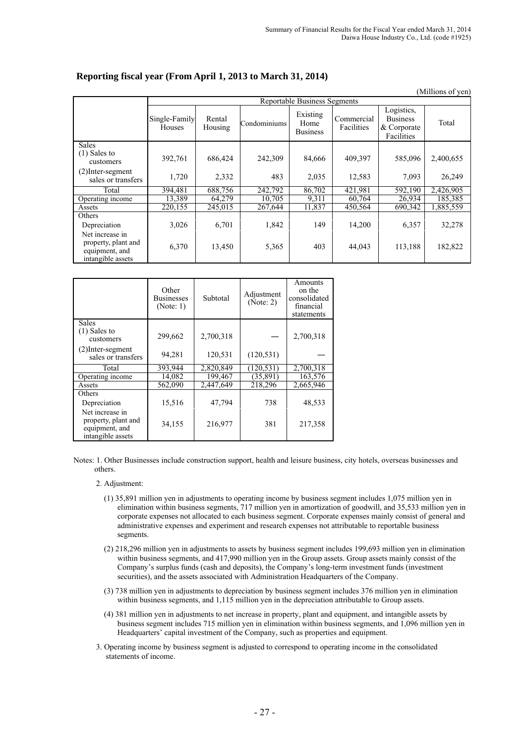|                                                                               |                         |                                     |              |                                     |                          |                                                            | (Millions of yen) |  |  |  |  |
|-------------------------------------------------------------------------------|-------------------------|-------------------------------------|--------------|-------------------------------------|--------------------------|------------------------------------------------------------|-------------------|--|--|--|--|
|                                                                               |                         | <b>Reportable Business Segments</b> |              |                                     |                          |                                                            |                   |  |  |  |  |
|                                                                               | Single-Family<br>Houses | Rental<br>Housing                   | Condominiums | Existing<br>Home<br><b>Business</b> | Commercial<br>Facilities | Logistics,<br><b>Business</b><br>& Corporate<br>Facilities | Total             |  |  |  |  |
| <b>Sales</b><br>$(1)$ Sales to<br>customers                                   | 392,761                 | 686,424                             | 242,309      | 84,666                              | 409,397                  | 585,096                                                    | 2,400,655         |  |  |  |  |
| $(2)$ Inter-segment<br>sales or transfers                                     | 1,720                   | 2,332                               | 483          | 2,035                               | 12,583                   | 7,093                                                      | 26,249            |  |  |  |  |
| Total                                                                         | 394.481                 | 688,756                             | 242.792      | 86,702                              | 421,981                  | 592,190                                                    | 2,426,905         |  |  |  |  |
| Operating income                                                              | 13,389                  | 64,279                              | 10,705       | 9,311                               | 60,764                   | 26,934                                                     | 185,385           |  |  |  |  |
| Assets                                                                        | 220,155                 | 245,015                             | 267,644      | 11,837                              | 450,564                  | 690,342                                                    | 1,885,559         |  |  |  |  |
| Others<br>Depreciation                                                        | 3,026                   | 6,701                               | 1,842        | 149                                 | 14,200                   | 6,357                                                      | 32,278            |  |  |  |  |
| Net increase in<br>property, plant and<br>equipment, and<br>intangible assets | 6,370                   | 13,450                              | 5,365        | 403                                 | 44,043                   | 113,188                                                    | 182,822           |  |  |  |  |

## **Reporting fiscal year (From April 1, 2013 to March 31, 2014)**

|                                                                               | Other<br><b>Businesses</b><br>(Note: 1) | Subtotal  | Adjustment<br>(Note: 2) | Amounts<br>on the<br>consolidated<br>financial<br>statements |
|-------------------------------------------------------------------------------|-----------------------------------------|-----------|-------------------------|--------------------------------------------------------------|
| Sales                                                                         |                                         |           |                         |                                                              |
| $(1)$ Sales to<br>customers                                                   | 299,662                                 | 2,700,318 |                         | 2,700,318                                                    |
| $(2)$ Inter-segment<br>sales or transfers                                     | 94,281                                  | 120,531   | (120.531)               |                                                              |
| Total                                                                         | 393.944                                 | 2,820,849 | (120.531)               | 2,700,318                                                    |
| Operating income                                                              | 14,082                                  | 199,467   | (35, 891)               | 163,576                                                      |
| Assets                                                                        | 562,090                                 | 2,447,649 | 218,296                 | 2,665,946                                                    |
| Others                                                                        |                                         |           |                         |                                                              |
| Depreciation                                                                  | 15,516                                  | 47,794    | 738                     | 48,533                                                       |
| Net increase in<br>property, plant and<br>equipment, and<br>intangible assets | 34,155                                  | 216,977   | 381                     | 217,358                                                      |

Notes: 1. Other Businesses include construction support, health and leisure business, city hotels, overseas businesses and others.

- 2. Adjustment:
	- (1) 35,891 million yen in adjustments to operating income by business segment includes 1,075 million yen in elimination within business segments, 717 million yen in amortization of goodwill, and 35,533 million yen in corporate expenses not allocated to each business segment. Corporate expenses mainly consist of general and administrative expenses and experiment and research expenses not attributable to reportable business segments.
	- (2) 218,296 million yen in adjustments to assets by business segment includes 199,693 million yen in elimination within business segments, and 417,990 million yen in the Group assets. Group assets mainly consist of the Company's surplus funds (cash and deposits), the Company's long-term investment funds (investment securities), and the assets associated with Administration Headquarters of the Company.
	- (3) 738 million yen in adjustments to depreciation by business segment includes 376 million yen in elimination within business segments, and 1,115 million yen in the depreciation attributable to Group assets.
	- (4) 381 million yen in adjustments to net increase in property, plant and equipment, and intangible assets by business segment includes 715 million yen in elimination within business segments, and 1,096 million yen in Headquarters' capital investment of the Company, such as properties and equipment.
- 3. Operating income by business segment is adjusted to correspond to operating income in the consolidated statements of income.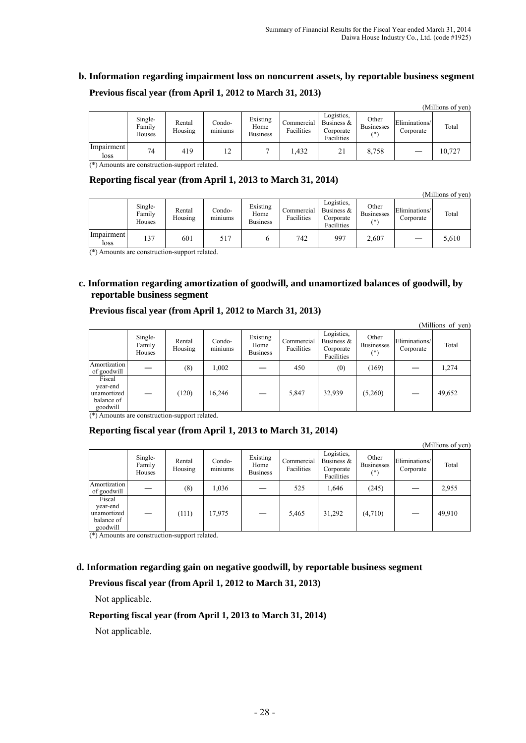# **b. Information regarding impairment loss on noncurrent assets, by reportable business segment Previous fiscal year (from April 1, 2012 to March 31, 2013)**

|                    |                             |                   |                   |                                     |                          |                                                        |                                   |                            | пишнону от лент |
|--------------------|-----------------------------|-------------------|-------------------|-------------------------------------|--------------------------|--------------------------------------------------------|-----------------------------------|----------------------------|-----------------|
|                    | Single-<br>Family<br>Houses | Rental<br>Housing | -Condo<br>miniums | Existing<br>Home<br><b>Business</b> | Commercial<br>Facilities | Logistics.<br>Business $\&$<br>Corporate<br>Facilities | Other<br><b>Businesses</b><br>(*) | Eliminations/<br>Corporate | Total           |
| Impairment<br>loss | 74                          | 419               | 12                |                                     | .432                     | 21                                                     | 8,758                             |                            | 10,727          |

(\*) Amounts are construction-support related.

# **Reporting fiscal year (from April 1, 2013 to March 31, 2014)**

(Millions of yen)

 $\alpha$  curve of  $\alpha$ 

|                    | Single-<br>Family<br>Houses | Rental<br>Housing | Condo-<br>$\cdot$ $\cdot$<br>miniums | Existing<br>Home<br><b>Business</b> | Commercial<br>Facilities | Logistics.<br>Business $\&$<br>Corporate<br>Facilities | Other<br><b>Businesses</b><br>(*) | Eliminations/<br>Corporate | Total |
|--------------------|-----------------------------|-------------------|--------------------------------------|-------------------------------------|--------------------------|--------------------------------------------------------|-----------------------------------|----------------------------|-------|
| Impairment<br>loss | 137                         | 601               | 517                                  |                                     | 742                      | 997                                                    | 2,607                             |                            | 5,610 |

(\*) Amounts are construction-support related.

# **c. Information regarding amortization of goodwill, and unamortized balances of goodwill, by reportable business segment**

# **Previous fiscal year (from April 1, 2012 to March 31, 2013)**

|                                                             |                             |                   |                          |                                     |                          |                                                        |                                     |                            | (Millions of yen) |
|-------------------------------------------------------------|-----------------------------|-------------------|--------------------------|-------------------------------------|--------------------------|--------------------------------------------------------|-------------------------------------|----------------------------|-------------------|
|                                                             | Single-<br>Family<br>Houses | Rental<br>Housing | Condo-<br>. .<br>miniums | Existing<br>Home<br><b>Business</b> | Commercial<br>Facilities | Logistics,<br>Business $\&$<br>Corporate<br>Facilities | Other<br><b>Businesses</b><br>$(*)$ | Eliminations/<br>Corporate | Total             |
| Amortization<br>of goodwill                                 |                             | (8)               | .002                     |                                     | 450                      | (0)                                                    | (169)                               |                            | 1,274             |
| Fiscal<br>year-end<br>unamortized<br>balance of<br>goodwill |                             | (120)             | 16,246                   |                                     | 5,847                    | 32,939                                                 | (5,260)                             |                            | 49,652            |

(\*) Amounts are construction-support related.

# **Reporting fiscal year (from April 1, 2013 to March 31, 2014)**

|                                                                          |                             |                   |                   |                                     |                          |                                                     |                                     |                            | (Millions of yen) |
|--------------------------------------------------------------------------|-----------------------------|-------------------|-------------------|-------------------------------------|--------------------------|-----------------------------------------------------|-------------------------------------|----------------------------|-------------------|
|                                                                          | Single-<br>Family<br>Houses | Rental<br>Housing | Condo-<br>miniums | Existing<br>Home<br><b>Business</b> | Commercial<br>Facilities | Logistics,<br>Business &<br>Corporate<br>Facilities | Other<br><b>Businesses</b><br>$(*)$ | Eliminations/<br>Corporate | Total             |
| Amortization<br>of goodwill                                              |                             | (8)               | 1,036             |                                     | 525                      | 1,646                                               | (245)                               |                            | 2,955             |
| Fiscal<br>year-end<br>unamortized<br>balance of<br>goodwill<br>$-1$ $-1$ |                             | (111)             | 17,975            |                                     | 5,465                    | 31,292                                              | (4,710)                             |                            | 49,910            |

(\*) Amounts are construction-support related.

# **d. Information regarding gain on negative goodwill, by reportable business segment**

## **Previous fiscal year (from April 1, 2012 to March 31, 2013)**

Not applicable.

## **Reporting fiscal year (from April 1, 2013 to March 31, 2014)**

Not applicable.